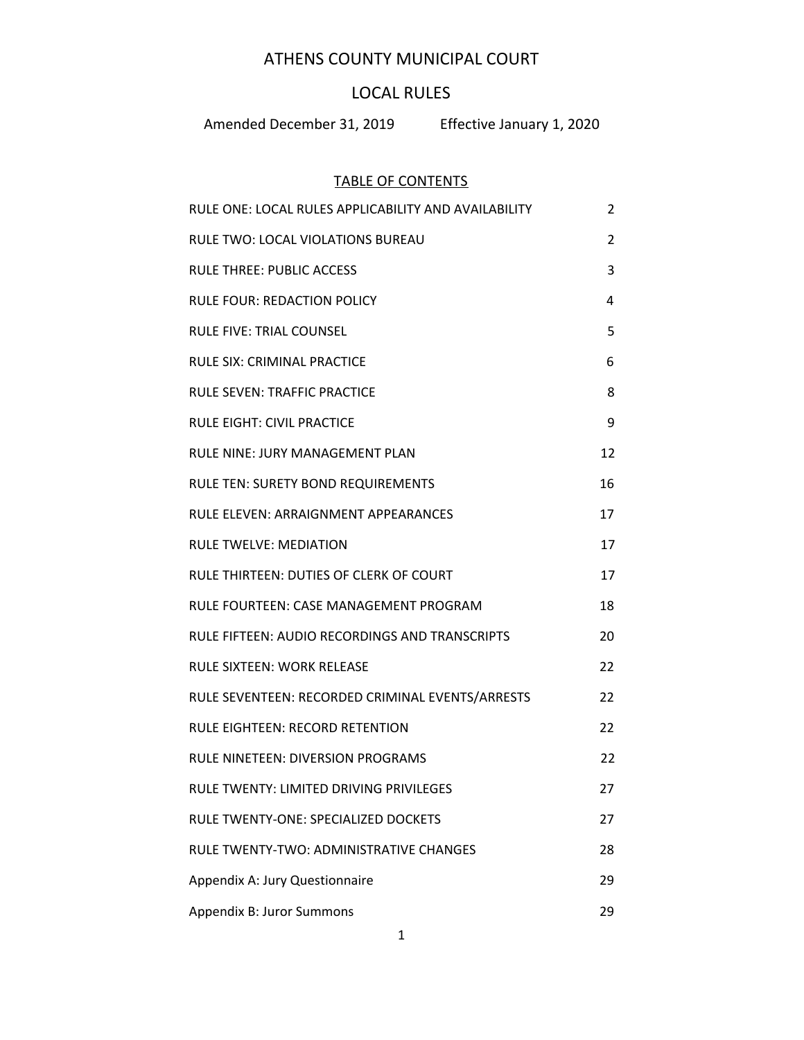# ATHENS COUNTY MUNICIPAL COURT

# LOCAL RULES

Amended December 31, 2019 Effective January 1, 2020

# TABLE OF CONTENTS

| RULE ONE: LOCAL RULES APPLICABILITY AND AVAILABILITY | 2  |
|------------------------------------------------------|----|
| RULE TWO: LOCAL VIOLATIONS BUREAU                    | 2  |
| <b>RULE THREE: PUBLIC ACCESS</b>                     | 3  |
| <b>RULE FOUR: REDACTION POLICY</b>                   | 4  |
| <b>RULE FIVE: TRIAL COUNSEL</b>                      | 5  |
| <b>RULE SIX: CRIMINAL PRACTICE</b>                   | 6  |
| <b>RULE SEVEN: TRAFFIC PRACTICE</b>                  | 8  |
| <b>RULE EIGHT: CIVIL PRACTICE</b>                    | 9  |
| <b>RULE NINE: JURY MANAGEMENT PLAN</b>               | 12 |
| <b>RULE TEN: SURETY BOND REQUIREMENTS</b>            | 16 |
| <b>RULE ELEVEN: ARRAIGNMENT APPEARANCES</b>          | 17 |
| <b>RULE TWELVE: MEDIATION</b>                        | 17 |
| RULE THIRTEEN: DUTIES OF CLERK OF COURT              | 17 |
| RULE FOURTEEN: CASE MANAGEMENT PROGRAM               | 18 |
| RULE FIFTEEN: AUDIO RECORDINGS AND TRANSCRIPTS       | 20 |
| <b>RULE SIXTEEN: WORK RELEASE</b>                    | 22 |
| RULE SEVENTEEN: RECORDED CRIMINAL EVENTS/ARRESTS     | 22 |
| <b>RULE EIGHTEEN: RECORD RETENTION</b>               | 22 |
| <b>RULE NINETEEN: DIVERSION PROGRAMS</b>             | 22 |
| RULE TWENTY: LIMITED DRIVING PRIVILEGES              | 27 |
| RULE TWENTY-ONE: SPECIALIZED DOCKETS                 | 27 |
| RULE TWENTY-TWO: ADMINISTRATIVE CHANGES              | 28 |
| Appendix A: Jury Questionnaire                       | 29 |
| Appendix B: Juror Summons                            | 29 |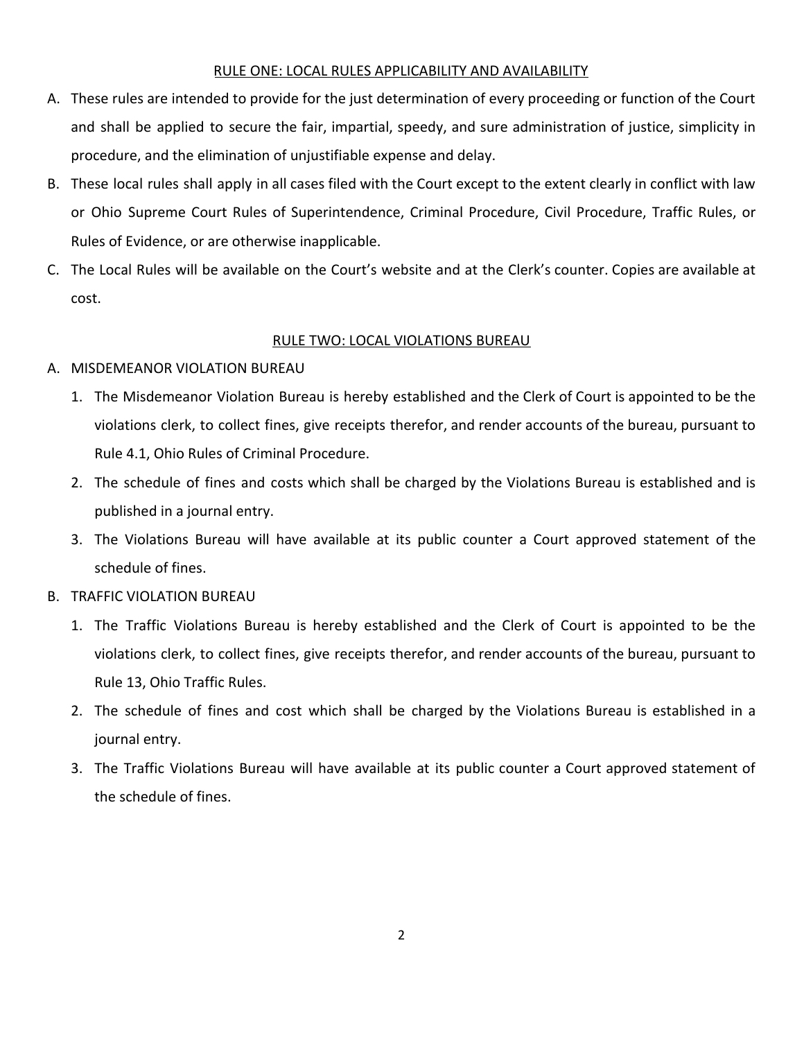### RULE ONE: LOCAL RULES APPLICABILITY AND AVAILABILITY

- <span id="page-1-0"></span>A. These rules are intended to provide for the just determination of every proceeding or function of the Court and shall be applied to secure the fair, impartial, speedy, and sure administration of justice, simplicity in procedure, and the elimination of unjustifiable expense and delay.
- B. These local rules shall apply in all cases filed with the Court except to the extent clearly in conflict with law or Ohio Supreme Court Rules of Superintendence, Criminal Procedure, Civil Procedure, Traffic Rules, or Rules of Evidence, or are otherwise inapplicable.
- C. The Local Rules will be available on the Court's website and at the Clerk's counter. Copies are available at cost.

## RULE TWO: LOCAL VIOLATIONS BUREAU

## <span id="page-1-1"></span>A. MISDEMEANOR VIOLATION BUREAU

- 1. The Misdemeanor Violation Bureau is hereby established and the Clerk of Court is appointed to be the violations clerk, to collect fines, give receipts therefor, and render accounts of the bureau, pursuant to Rule 4.1, Ohio Rules of Criminal Procedure.
- 2. The schedule of fines and costs which shall be charged by the Violations Bureau is established and is published in a journal entry.
- 3. The Violations Bureau will have available at its public counter a Court approved statement of the schedule of fines.
- B. TRAFFIC VIOLATION BUREAU
	- 1. The Traffic Violations Bureau is hereby established and the Clerk of Court is appointed to be the violations clerk, to collect fines, give receipts therefor, and render accounts of the bureau, pursuant to Rule 13, Ohio Traffic Rules.
	- 2. The schedule of fines and cost which shall be charged by the Violations Bureau is established in a journal entry.
	- 3. The Traffic Violations Bureau will have available at its public counter a Court approved statement of the schedule of fines.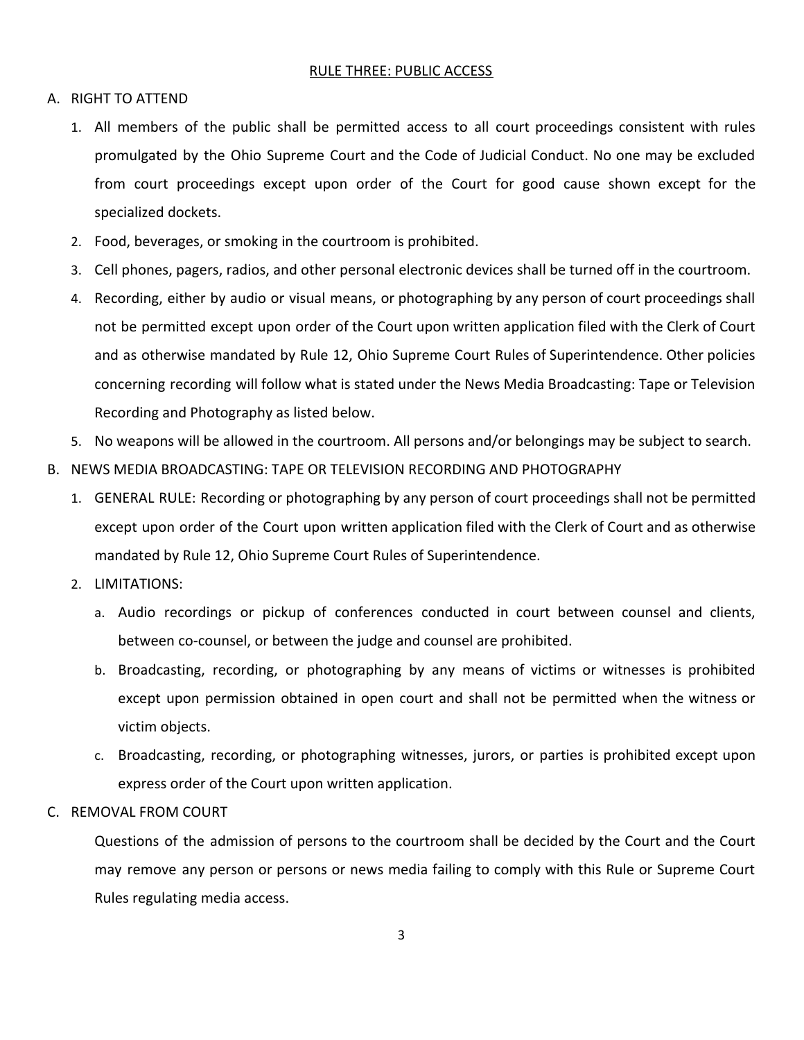#### RULE THREE: PUBLIC ACCESS

#### <span id="page-2-0"></span>A. RIGHT TO ATTEND

- 1. All members of the public shall be permitted access to all court proceedings consistent with rules promulgated by the Ohio Supreme Court and the Code of Judicial Conduct. No one may be excluded from court proceedings except upon order of the Court for good cause shown except for the specialized dockets.
- 2. Food, beverages, or smoking in the courtroom is prohibited.
- 3. Cell phones, pagers, radios, and other personal electronic devices shall be turned off in the courtroom.
- 4. Recording, either by audio or visual means, or photographing by any person of court proceedings shall not be permitted except upon order of the Court upon written application filed with the Clerk of Court and as otherwise mandated by Rule 12, Ohio Supreme Court Rules of Superintendence. Other policies concerning recording will follow what is stated under the News Media Broadcasting: Tape or Television Recording and Photography as listed below.
- 5. No weapons will be allowed in the courtroom. All persons and/or belongings may be subject to search.
- B. NEWS MEDIA BROADCASTING: TAPE OR TELEVISION RECORDING AND PHOTOGRAPHY
	- 1. GENERAL RULE: Recording or photographing by any person of court proceedings shall not be permitted except upon order of the Court upon written application filed with the Clerk of Court and as otherwise mandated by Rule 12, Ohio Supreme Court Rules of Superintendence.
	- 2. LIMITATIONS:
		- a. Audio recordings or pickup of conferences conducted in court between counsel and clients, between co-counsel, or between the judge and counsel are prohibited.
		- b. Broadcasting, recording, or photographing by any means of victims or witnesses is prohibited except upon permission obtained in open court and shall not be permitted when the witness or victim objects.
		- c. Broadcasting, recording, or photographing witnesses, jurors, or parties is prohibited except upon express order of the Court upon written application.
- C. REMOVAL FROM COURT

Questions of the admission of persons to the courtroom shall be decided by the Court and the Court may remove any person or persons or news media failing to comply with this Rule or Supreme Court Rules regulating media access.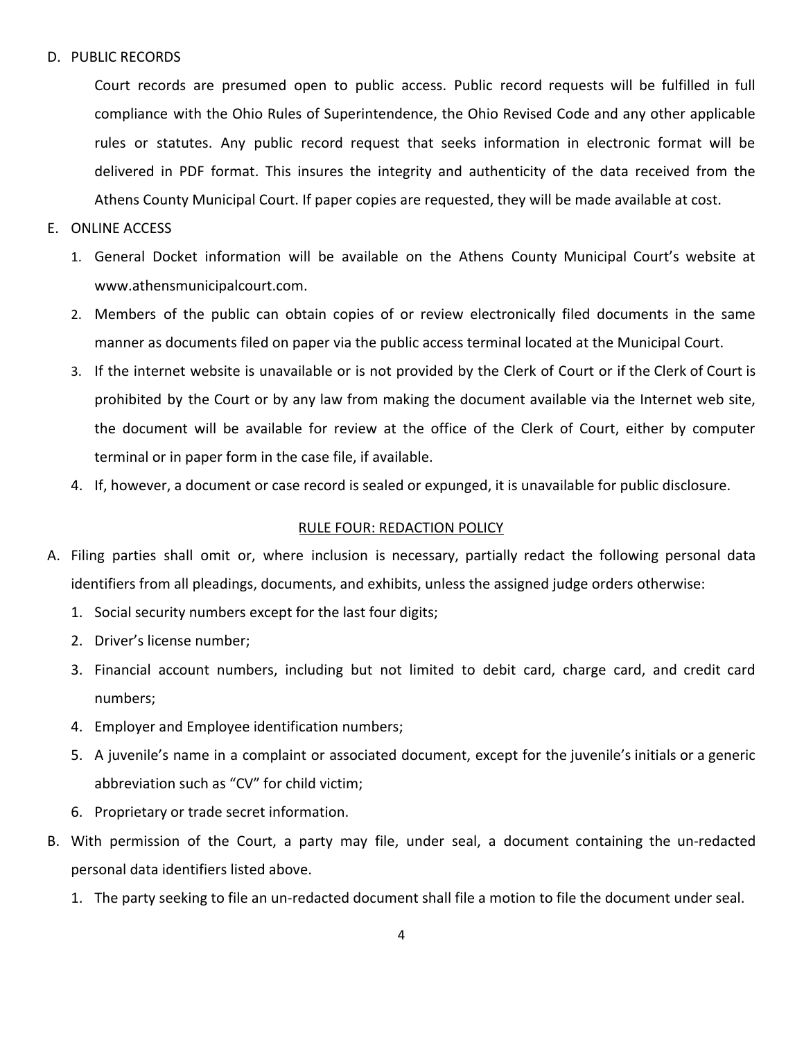### D. PUBLIC RECORDS

Court records are presumed open to public access. Public record requests will be fulfilled in full compliance with the Ohio Rules of Superintendence, the Ohio Revised Code and any other applicable rules or statutes. Any public record request that seeks information in electronic format will be delivered in PDF format. This insures the integrity and authenticity of the data received from the Athens County Municipal Court. If paper copies are requested, they will be made available at cost.

- E. ONLINE ACCESS
	- 1. General Docket information will be available on the Athens County Municipal Court's website at www.athensmunicipalcourt.com.
	- 2. Members of the public can obtain copies of or review electronically filed documents in the same manner as documents filed on paper via the public access terminal located at the Municipal Court.
	- 3. If the internet website is unavailable or is not provided by the Clerk of Court or if the Clerk of Court is prohibited by the Court or by any law from making the document available via the Internet web site, the document will be available for review at the office of the Clerk of Court, either by computer terminal or in paper form in the case file, if available.
	- 4. If, however, a document or case record is sealed or expunged, it is unavailable for public disclosure.

#### RULE FOUR: REDACTION POLICY

- <span id="page-3-0"></span>A. Filing parties shall omit or, where inclusion is necessary, partially redact the following personal data identifiers from all pleadings, documents, and exhibits, unless the assigned judge orders otherwise:
	- 1. Social security numbers except for the last four digits;
	- 2. Driver's license number;
	- 3. Financial account numbers, including but not limited to debit card, charge card, and credit card numbers;
	- 4. Employer and Employee identification numbers;
	- 5. A juvenile's name in a complaint or associated document, except for the juvenile's initials or a generic abbreviation such as "CV" for child victim;
	- 6. Proprietary or trade secret information.
- B. With permission of the Court, a party may file, under seal, a document containing the un-redacted personal data identifiers listed above.
	- 1. The party seeking to file an un-redacted document shall file a motion to file the document under seal.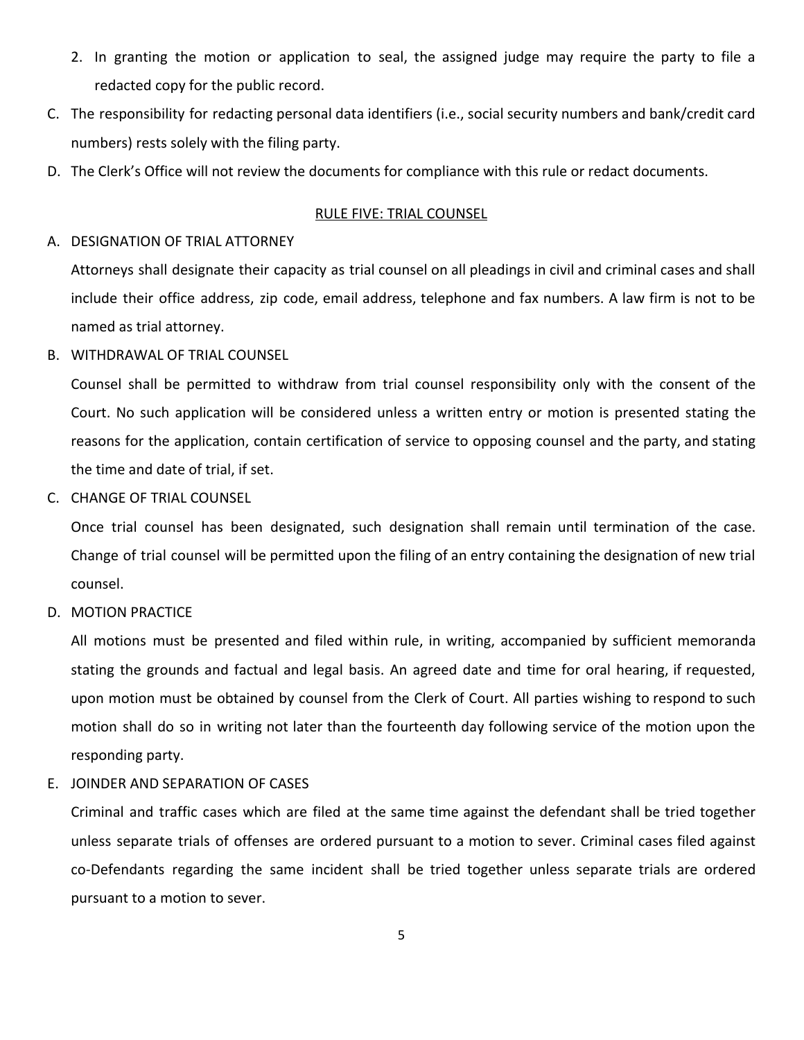- 2. In granting the motion or application to seal, the assigned judge may require the party to file a redacted copy for the public record.
- C. The responsibility for redacting personal data identifiers (i.e., social security numbers and bank/credit card numbers) rests solely with the filing party.
- <span id="page-4-0"></span>D. The Clerk's Office will not review the documents for compliance with this rule or redact documents.

#### RULE FIVE: TRIAL COUNSEL

#### A. DESIGNATION OF TRIAL ATTORNEY

Attorneys shall designate their capacity as trial counsel on all pleadings in civil and criminal cases and shall include their office address, zip code, email address, telephone and fax numbers. A law firm is not to be named as trial attorney.

B. WITHDRAWAL OF TRIAL COUNSEL

Counsel shall be permitted to withdraw from trial counsel responsibility only with the consent of the Court. No such application will be considered unless a written entry or motion is presented stating the reasons for the application, contain certification of service to opposing counsel and the party, and stating the time and date of trial, if set.

C. CHANGE OF TRIAL COUNSEL

Once trial counsel has been designated, such designation shall remain until termination of the case. Change of trial counsel will be permitted upon the filing of an entry containing the designation of new trial counsel.

D. MOTION PRACTICE

All motions must be presented and filed within rule, in writing, accompanied by sufficient memoranda stating the grounds and factual and legal basis. An agreed date and time for oral hearing, if requested, upon motion must be obtained by counsel from the Clerk of Court. All parties wishing to respond to such motion shall do so in writing not later than the fourteenth day following service of the motion upon the responding party.

#### E. JOINDER AND SEPARATION OF CASES

Criminal and traffic cases which are filed at the same time against the defendant shall be tried together unless separate trials of offenses are ordered pursuant to a motion to sever. Criminal cases filed against co-Defendants regarding the same incident shall be tried together unless separate trials are ordered pursuant to a motion to sever.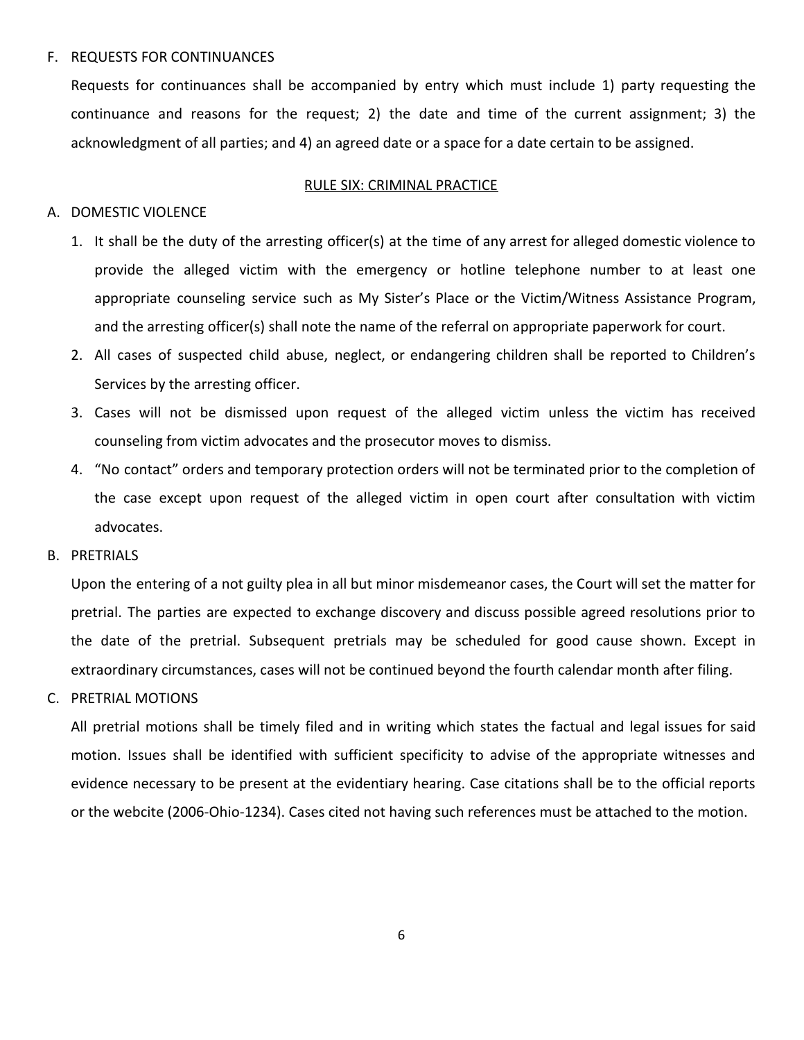#### F. REQUESTS FOR CONTINUANCES

Requests for continuances shall be accompanied by entry which must include 1) party requesting the continuance and reasons for the request; 2) the date and time of the current assignment; 3) the acknowledgment of all parties; and 4) an agreed date or a space for a date certain to be assigned.

#### RULE SIX: CRIMINAL PRACTICE

### <span id="page-5-0"></span>A. DOMESTIC VIOLENCE

- 1. It shall be the duty of the arresting officer(s) at the time of any arrest for alleged domestic violence to provide the alleged victim with the emergency or hotline telephone number to at least one appropriate counseling service such as My Sister's Place or the Victim/Witness Assistance Program, and the arresting officer(s) shall note the name of the referral on appropriate paperwork for court.
- 2. All cases of suspected child abuse, neglect, or endangering children shall be reported to Children's Services by the arresting officer.
- 3. Cases will not be dismissed upon request of the alleged victim unless the victim has received counseling from victim advocates and the prosecutor moves to dismiss.
- 4. "No contact" orders and temporary protection orders will not be terminated prior to the completion of the case except upon request of the alleged victim in open court after consultation with victim advocates.

### B. PRETRIALS

Upon the entering of a not guilty plea in all but minor misdemeanor cases, the Court will set the matter for pretrial. The parties are expected to exchange discovery and discuss possible agreed resolutions prior to the date of the pretrial. Subsequent pretrials may be scheduled for good cause shown. Except in extraordinary circumstances, cases will not be continued beyond the fourth calendar month after filing.

### C. PRETRIAL MOTIONS

All pretrial motions shall be timely filed and in writing which states the factual and legal issues for said motion. Issues shall be identified with sufficient specificity to advise of the appropriate witnesses and evidence necessary to be present at the evidentiary hearing. Case citations shall be to the official reports or the webcite (2006-Ohio-1234). Cases cited not having such references must be attached to the motion.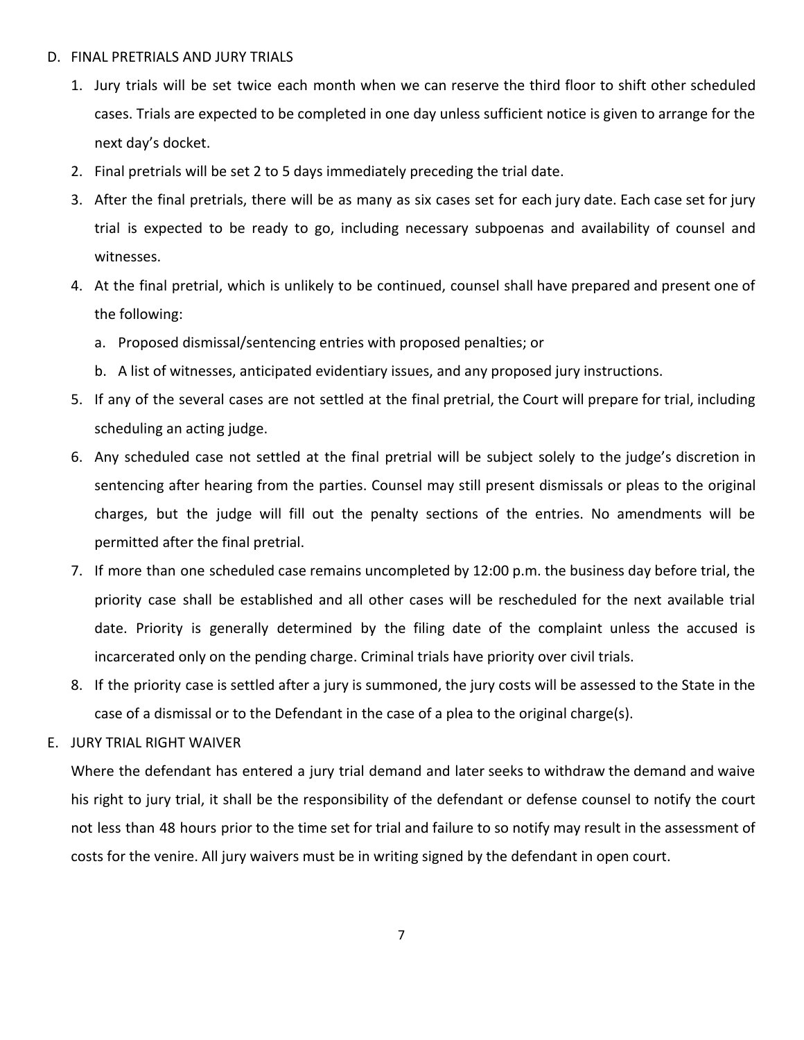### D. FINAL PRETRIALS AND JURY TRIALS

- 1. Jury trials will be set twice each month when we can reserve the third floor to shift other scheduled cases. Trials are expected to be completed in one day unless sufficient notice is given to arrange for the next day's docket.
- 2. Final pretrials will be set 2 to 5 days immediately preceding the trial date.
- 3. After the final pretrials, there will be as many as six cases set for each jury date. Each case set for jury trial is expected to be ready to go, including necessary subpoenas and availability of counsel and witnesses.
- 4. At the final pretrial, which is unlikely to be continued, counsel shall have prepared and present one of the following:
	- a. Proposed dismissal/sentencing entries with proposed penalties; or
	- b. A list of witnesses, anticipated evidentiary issues, and any proposed jury instructions.
- 5. If any of the several cases are not settled at the final pretrial, the Court will prepare for trial, including scheduling an acting judge.
- 6. Any scheduled case not settled at the final pretrial will be subject solely to the judge's discretion in sentencing after hearing from the parties. Counsel may still present dismissals or pleas to the original charges, but the judge will fill out the penalty sections of the entries. No amendments will be permitted after the final pretrial.
- 7. If more than one scheduled case remains uncompleted by 12:00 p.m. the business day before trial, the priority case shall be established and all other cases will be rescheduled for the next available trial date. Priority is generally determined by the filing date of the complaint unless the accused is incarcerated only on the pending charge. Criminal trials have priority over civil trials.
- 8. If the priority case is settled after a jury is summoned, the jury costs will be assessed to the State in the case of a dismissal or to the Defendant in the case of a plea to the original charge(s).

### E. JURY TRIAL RIGHT WAIVER

Where the defendant has entered a jury trial demand and later seeks to withdraw the demand and waive his right to jury trial, it shall be the responsibility of the defendant or defense counsel to notify the court not less than 48 hours prior to the time set for trial and failure to so notify may result in the assessment of costs for the venire. All jury waivers must be in writing signed by the defendant in open court.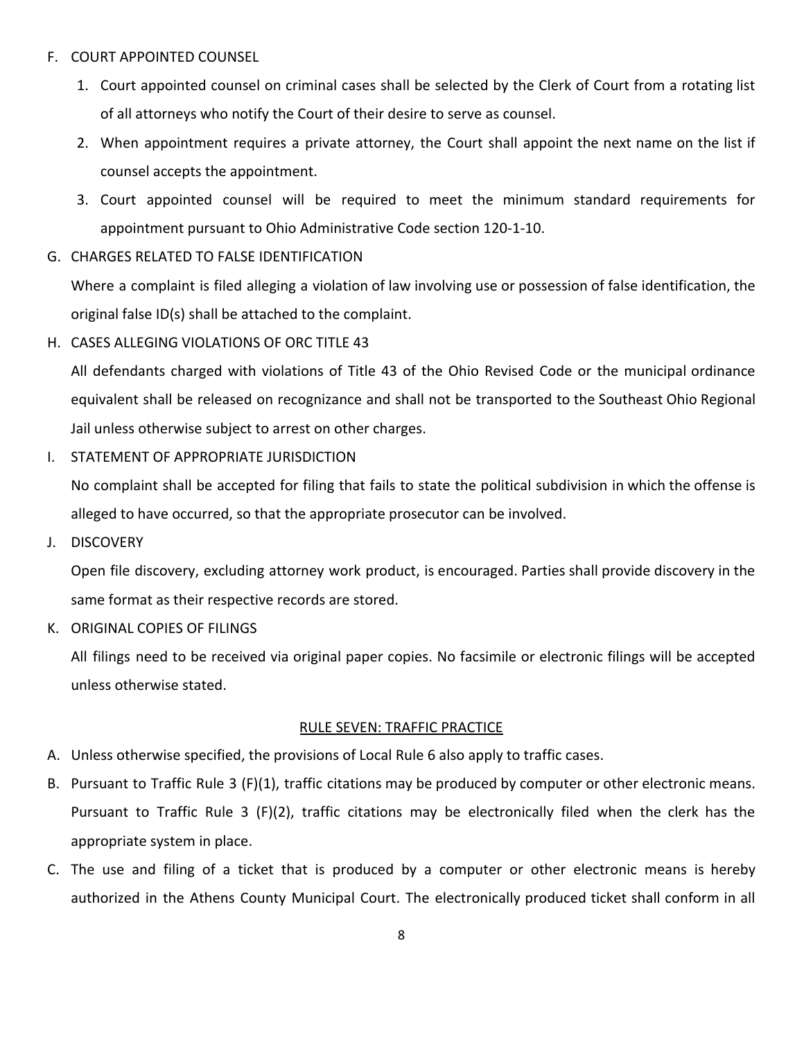## F. COURT APPOINTED COUNSEL

- 1. Court appointed counsel on criminal cases shall be selected by the Clerk of Court from a rotating list of all attorneys who notify the Court of their desire to serve as counsel.
- 2. When appointment requires a private attorney, the Court shall appoint the next name on the list if counsel accepts the appointment.
- 3. Court appointed counsel will be required to meet the minimum standard requirements for appointment pursuant to Ohio Administrative Code section 120-1-10.
- G. CHARGES RELATED TO FALSE IDENTIFICATION

Where a complaint is filed alleging a violation of law involving use or possession of false identification, the original false ID(s) shall be attached to the complaint.

H. CASES ALLEGING VIOLATIONS OF ORC TITLE 43

All defendants charged with violations of Title 43 of the Ohio Revised Code or the municipal ordinance equivalent shall be released on recognizance and shall not be transported to the Southeast Ohio Regional Jail unless otherwise subject to arrest on other charges.

I. STATEMENT OF APPROPRIATE JURISDICTION

No complaint shall be accepted for filing that fails to state the political subdivision in which the offense is alleged to have occurred, so that the appropriate prosecutor can be involved.

J. DISCOVERY

Open file discovery, excluding attorney work product, is encouraged. Parties shall provide discovery in the same format as their respective records are stored.

K. ORIGINAL COPIES OF FILINGS

All filings need to be received via original paper copies. No facsimile or electronic filings will be accepted unless otherwise stated.

## RULE SEVEN: TRAFFIC PRACTICE

- <span id="page-7-0"></span>A. Unless otherwise specified, the provisions of Local Rule 6 also apply to traffic cases.
- B. Pursuant to Traffic Rule 3 (F)(1), traffic citations may be produced by computer or other electronic means. Pursuant to Traffic Rule 3 (F)(2), traffic citations may be electronically filed when the clerk has the appropriate system in place.
- C. The use and filing of a ticket that is produced by a computer or other electronic means is hereby authorized in the Athens County Municipal Court. The electronically produced ticket shall conform in all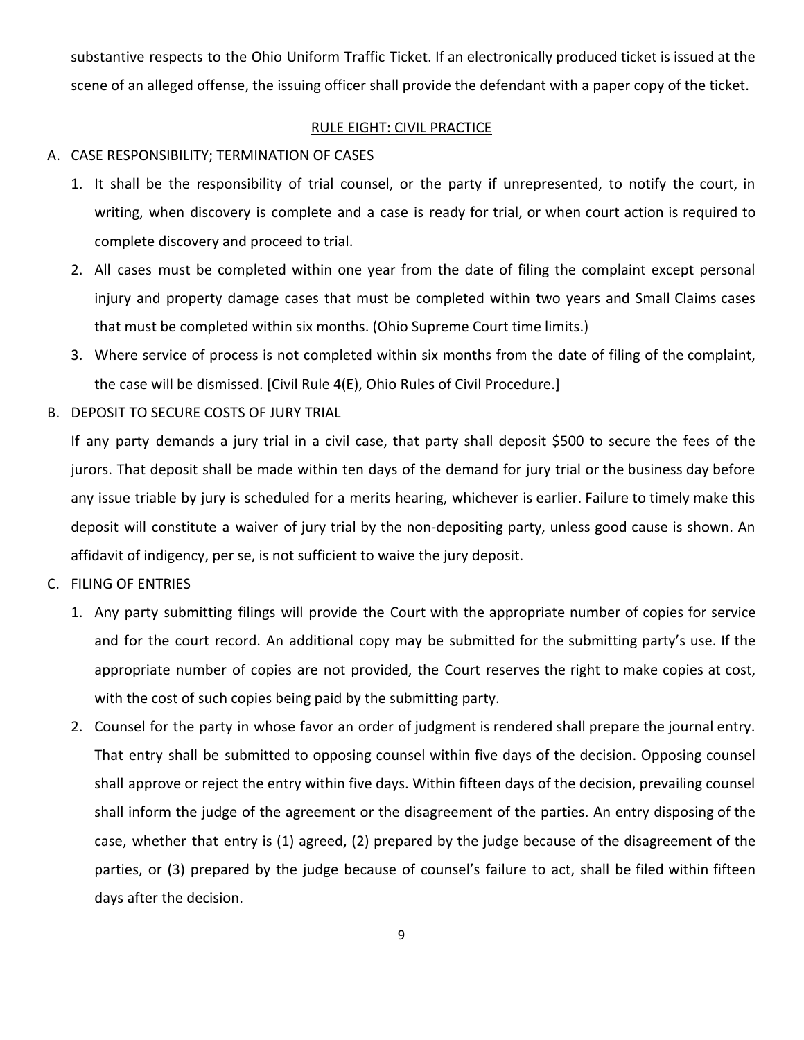substantive respects to the Ohio Uniform Traffic Ticket. If an electronically produced ticket is issued at the scene of an alleged offense, the issuing officer shall provide the defendant with a paper copy of the ticket.

## RULE EIGHT: CIVIL PRACTICE

## <span id="page-8-0"></span>A. CASE RESPONSIBILITY; TERMINATION OF CASES

- 1. It shall be the responsibility of trial counsel, or the party if unrepresented, to notify the court, in writing, when discovery is complete and a case is ready for trial, or when court action is required to complete discovery and proceed to trial.
- 2. All cases must be completed within one year from the date of filing the complaint except personal injury and property damage cases that must be completed within two years and Small Claims cases that must be completed within six months. (Ohio Supreme Court time limits.)
- 3. Where service of process is not completed within six months from the date of filing of the complaint, the case will be dismissed. [Civil Rule 4(E), Ohio Rules of Civil Procedure.]
- B. DEPOSIT TO SECURE COSTS OF JURY TRIAL

If any party demands a jury trial in a civil case, that party shall deposit \$500 to secure the fees of the jurors. That deposit shall be made within ten days of the demand for jury trial or the business day before any issue triable by jury is scheduled for a merits hearing, whichever is earlier. Failure to timely make this deposit will constitute a waiver of jury trial by the non-depositing party, unless good cause is shown. An affidavit of indigency, per se, is not sufficient to waive the jury deposit.

- C. FILING OF ENTRIES
	- 1. Any party submitting filings will provide the Court with the appropriate number of copies for service and for the court record. An additional copy may be submitted for the submitting party's use. If the appropriate number of copies are not provided, the Court reserves the right to make copies at cost, with the cost of such copies being paid by the submitting party.
	- 2. Counsel for the party in whose favor an order of judgment is rendered shall prepare the journal entry. That entry shall be submitted to opposing counsel within five days of the decision. Opposing counsel shall approve or reject the entry within five days. Within fifteen days of the decision, prevailing counsel shall inform the judge of the agreement or the disagreement of the parties. An entry disposing of the case, whether that entry is (1) agreed, (2) prepared by the judge because of the disagreement of the parties, or (3) prepared by the judge because of counsel's failure to act, shall be filed within fifteen days after the decision.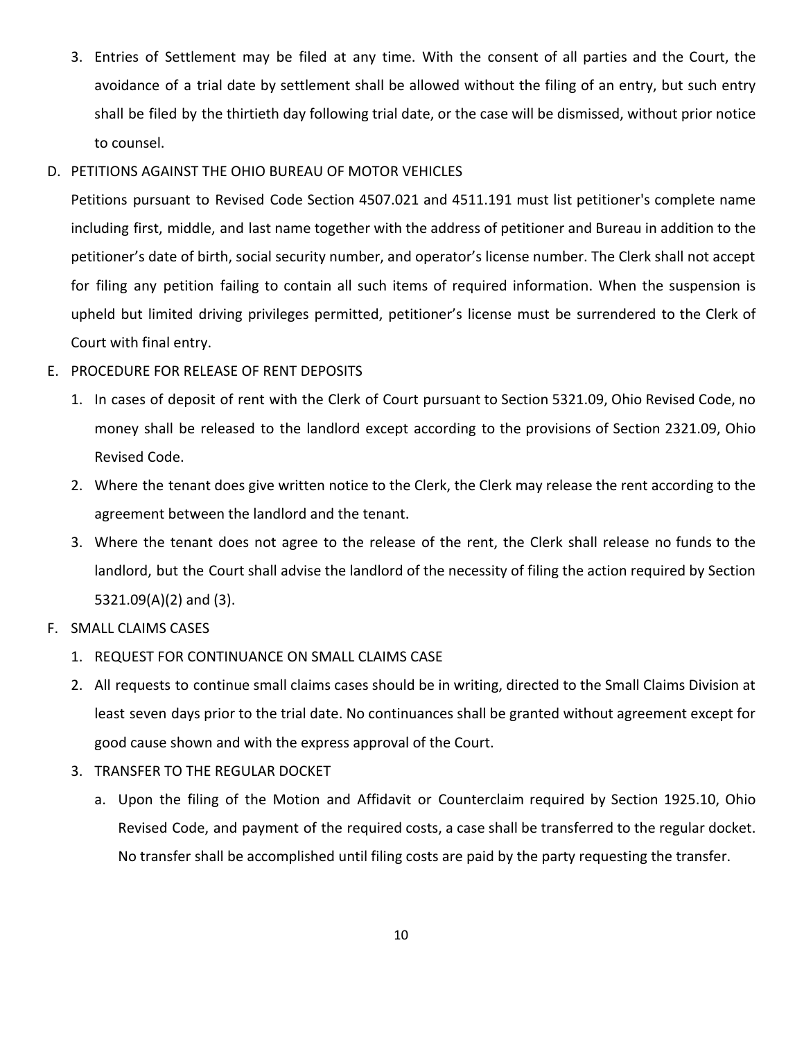3. Entries of Settlement may be filed at any time. With the consent of all parties and the Court, the avoidance of a trial date by settlement shall be allowed without the filing of an entry, but such entry shall be filed by the thirtieth day following trial date, or the case will be dismissed, without prior notice to counsel.

## D. PETITIONS AGAINST THE OHIO BUREAU OF MOTOR VEHICLES

Petitions pursuant to Revised Code Section 4507.021 and 4511.191 must list petitioner's complete name including first, middle, and last name together with the address of petitioner and Bureau in addition to the petitioner's date of birth, social security number, and operator's license number. The Clerk shall not accept for filing any petition failing to contain all such items of required information. When the suspension is upheld but limited driving privileges permitted, petitioner's license must be surrendered to the Clerk of Court with final entry.

## E. PROCEDURE FOR RELEASE OF RENT DEPOSITS

- 1. In cases of deposit of rent with the Clerk of Court pursuant to Section 5321.09, Ohio Revised Code, no money shall be released to the landlord except according to the provisions of Section 2321.09, Ohio Revised Code.
- 2. Where the tenant does give written notice to the Clerk, the Clerk may release the rent according to the agreement between the landlord and the tenant.
- 3. Where the tenant does not agree to the release of the rent, the Clerk shall release no funds to the landlord, but the Court shall advise the landlord of the necessity of filing the action required by Section 5321.09(A)(2) and (3).
- F. SMALL CLAIMS CASES
	- 1. REQUEST FOR CONTINUANCE ON SMALL CLAIMS CASE
	- 2. All requests to continue small claims cases should be in writing, directed to the Small Claims Division at least seven days prior to the trial date. No continuances shall be granted without agreement except for good cause shown and with the express approval of the Court.
	- 3. TRANSFER TO THE REGULAR DOCKET
		- a. Upon the filing of the Motion and Affidavit or Counterclaim required by Section 1925.10, Ohio Revised Code, and payment of the required costs, a case shall be transferred to the regular docket. No transfer shall be accomplished until filing costs are paid by the party requesting the transfer.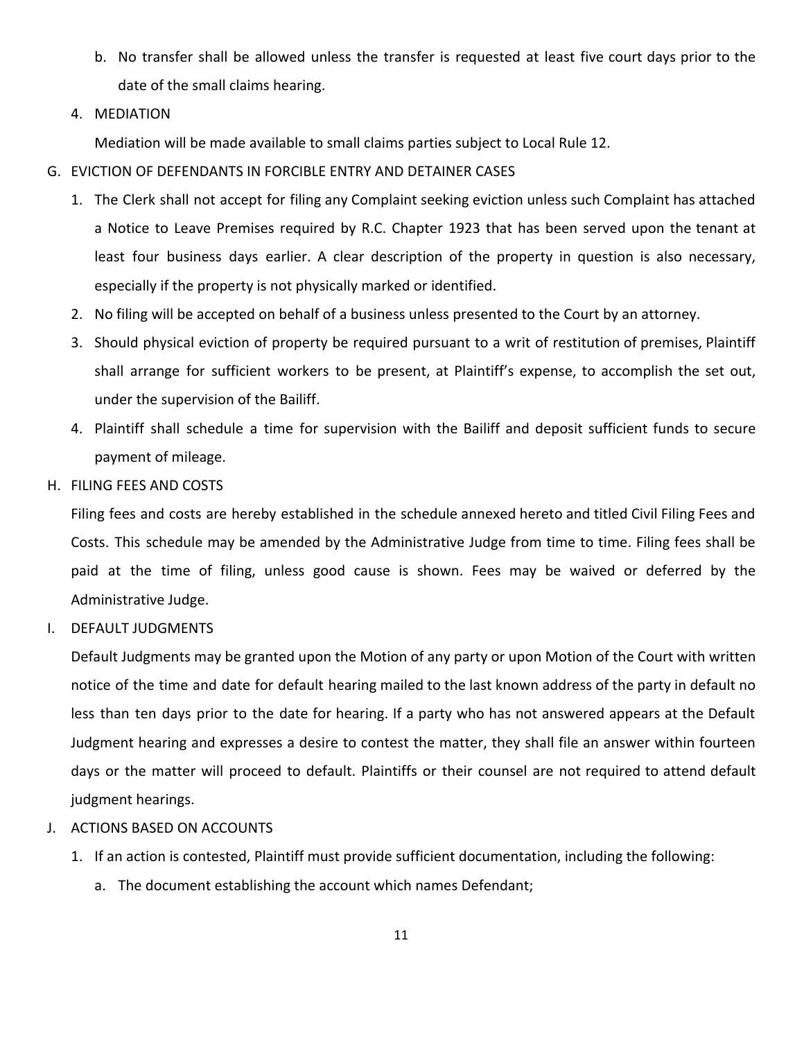- b. No transfer shall be allowed unless the transfer is requested at least five court days prior to the date of the small claims hearing.
- 4. MEDIATION

Mediation will be made available to small claims parties subject to Local Rule 12.

- G. EVICTION OF DEFENDANTS IN FORCIBLE ENTRY AND DETAINER CASES
	- 1. The Clerk shall not accept for filing any Complaint seeking eviction unless such Complaint has attached a Notice to Leave Premises required by R.C. Chapter 1923 that has been served upon the tenant at least four business days earlier. A clear description of the property in question is also necessary, especially if the property is not physically marked or identified.
	- 2. No filing will be accepted on behalf of a business unless presented to the Court by an attorney.
	- 3. Should physical eviction of property be required pursuant to a writ of restitution of premises, Plaintiff shall arrange for sufficient workers to be present, at Plaintiff's expense, to accomplish the set out, under the supervision of the Bailiff.
	- 4. Plaintiff shall schedule a time for supervision with the Bailiff and deposit sufficient funds to secure payment of mileage.
- H. FILING FEES AND COSTS

Filing fees and costs are hereby established in the schedule annexed hereto and titled Civil Filing Fees and Costs. This schedule may be amended by the Administrative Judge from time to time. Filing fees shall be paid at the time of filing, unless good cause is shown. Fees may be waived or deferred by the Administrative Judge.

I. DEFAULT JUDGMENTS

Default Judgments may be granted upon the Motion of any party or upon Motion of the Court with written notice of the time and date for default hearing mailed to the last known address of the party in default no less than ten days prior to the date for hearing. If a party who has not answered appears at the Default Judgment hearing and expresses a desire to contest the matter, they shall file an answer within fourteen days or the matter will proceed to default. Plaintiffs or their counsel are not required to attend default judgment hearings.

- J. ACTIONS BASED ON ACCOUNTS
	- 1. If an action is contested, Plaintiff must provide sufficient documentation, including the following:
		- a. The document establishing the account which names Defendant;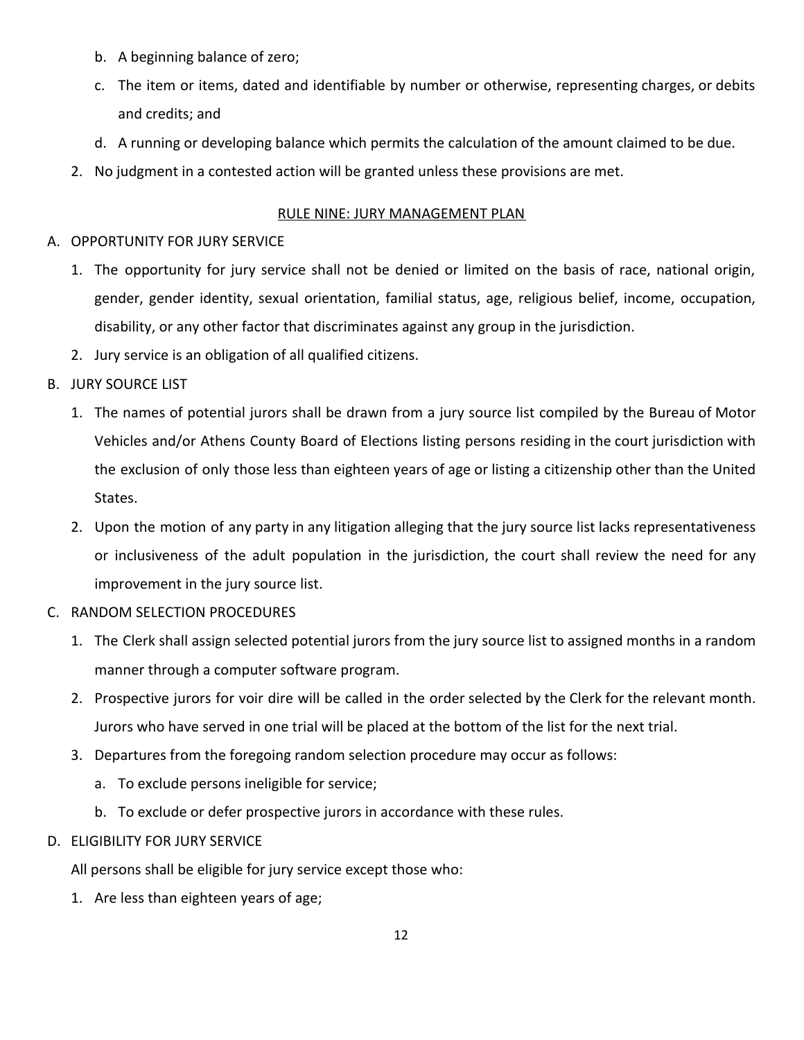- b. A beginning balance of zero;
- c. The item or items, dated and identifiable by number or otherwise, representing charges, or debits and credits; and
- d. A running or developing balance which permits the calculation of the amount claimed to be due.
- <span id="page-11-0"></span>2. No judgment in a contested action will be granted unless these provisions are met.

## RULE NINE: JURY MANAGEMENT PLAN

## A. OPPORTUNITY FOR JURY SERVICE

- 1. The opportunity for jury service shall not be denied or limited on the basis of race, national origin, gender, gender identity, sexual orientation, familial status, age, religious belief, income, occupation, disability, or any other factor that discriminates against any group in the jurisdiction.
- 2. Jury service is an obligation of all qualified citizens.
- B. JURY SOURCE LIST
	- 1. The names of potential jurors shall be drawn from a jury source list compiled by the Bureau of Motor Vehicles and/or Athens County Board of Elections listing persons residing in the court jurisdiction with the exclusion of only those less than eighteen years of age or listing a citizenship other than the United States.
	- 2. Upon the motion of any party in any litigation alleging that the jury source list lacks representativeness or inclusiveness of the adult population in the jurisdiction, the court shall review the need for any improvement in the jury source list.
- C. RANDOM SELECTION PROCEDURES
	- 1. The Clerk shall assign selected potential jurors from the jury source list to assigned months in a random manner through a computer software program.
	- 2. Prospective jurors for voir dire will be called in the order selected by the Clerk for the relevant month. Jurors who have served in one trial will be placed at the bottom of the list for the next trial.
	- 3. Departures from the foregoing random selection procedure may occur as follows:
		- a. To exclude persons ineligible for service;
		- b. To exclude or defer prospective jurors in accordance with these rules.
- D. ELIGIBILITY FOR JURY SERVICE

All persons shall be eligible for jury service except those who:

1. Are less than eighteen years of age;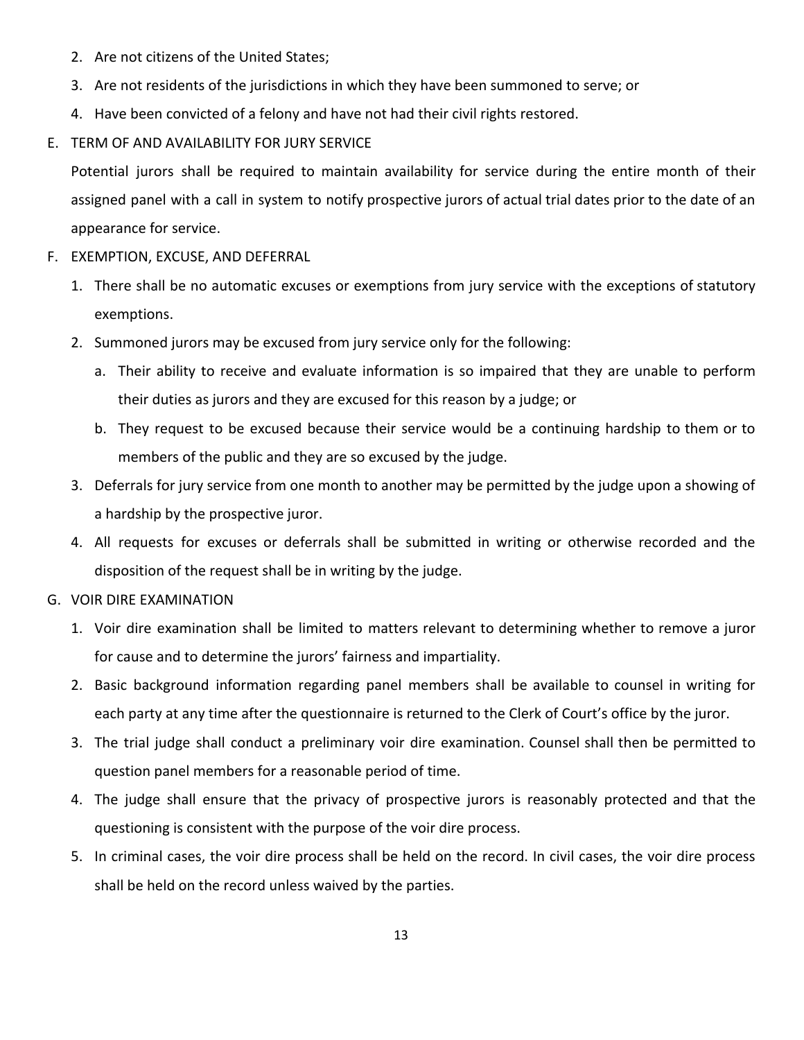- 2. Are not citizens of the United States;
- 3. Are not residents of the jurisdictions in which they have been summoned to serve; or
- 4. Have been convicted of a felony and have not had their civil rights restored.
- E. TERM OF AND AVAILABILITY FOR JURY SERVICE

Potential jurors shall be required to maintain availability for service during the entire month of their assigned panel with a call in system to notify prospective jurors of actual trial dates prior to the date of an appearance for service.

- F. EXEMPTION, EXCUSE, AND DEFERRAL
	- 1. There shall be no automatic excuses or exemptions from jury service with the exceptions of statutory exemptions.
	- 2. Summoned jurors may be excused from jury service only for the following:
		- a. Their ability to receive and evaluate information is so impaired that they are unable to perform their duties as jurors and they are excused for this reason by a judge; or
		- b. They request to be excused because their service would be a continuing hardship to them or to members of the public and they are so excused by the judge.
	- 3. Deferrals for jury service from one month to another may be permitted by the judge upon a showing of a hardship by the prospective juror.
	- 4. All requests for excuses or deferrals shall be submitted in writing or otherwise recorded and the disposition of the request shall be in writing by the judge.
- G. VOIR DIRE EXAMINATION
	- 1. Voir dire examination shall be limited to matters relevant to determining whether to remove a juror for cause and to determine the jurors' fairness and impartiality.
	- 2. Basic background information regarding panel members shall be available to counsel in writing for each party at any time after the questionnaire is returned to the Clerk of Court's office by the juror.
	- 3. The trial judge shall conduct a preliminary voir dire examination. Counsel shall then be permitted to question panel members for a reasonable period of time.
	- 4. The judge shall ensure that the privacy of prospective jurors is reasonably protected and that the questioning is consistent with the purpose of the voir dire process.
	- 5. In criminal cases, the voir dire process shall be held on the record. In civil cases, the voir dire process shall be held on the record unless waived by the parties.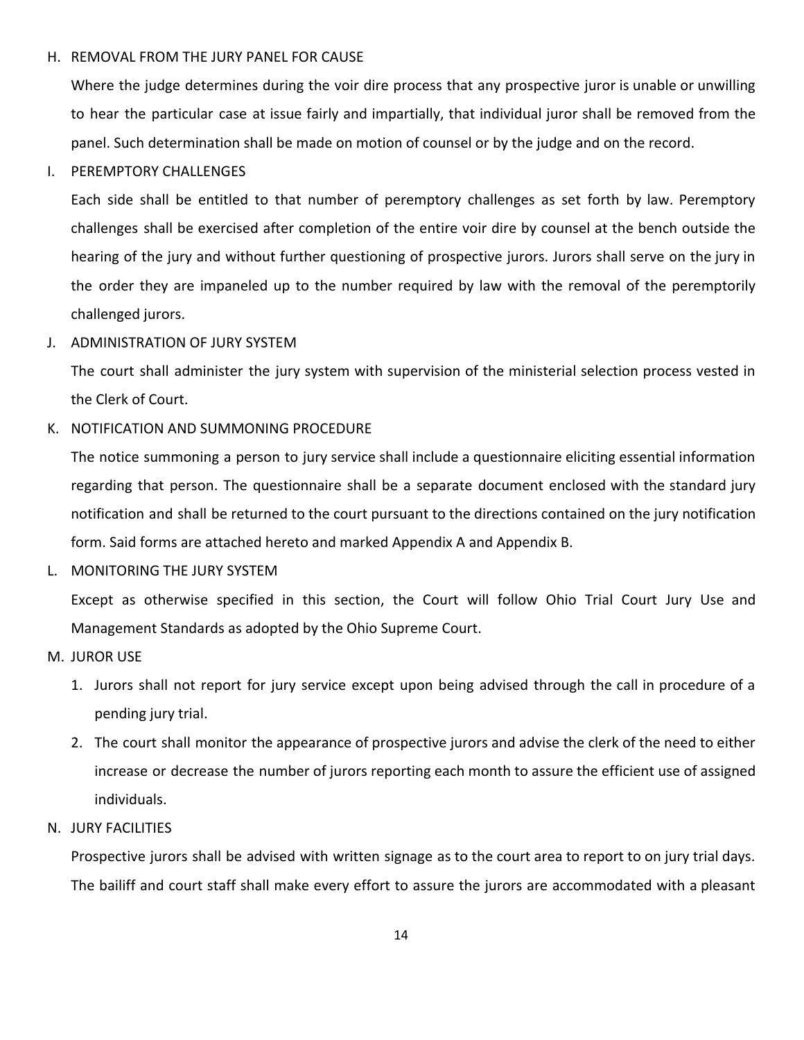### H. REMOVAL FROM THE JURY PANEL FOR CAUSE

Where the judge determines during the voir dire process that any prospective juror is unable or unwilling to hear the particular case at issue fairly and impartially, that individual juror shall be removed from the panel. Such determination shall be made on motion of counsel or by the judge and on the record.

#### I. PEREMPTORY CHALLENGES

Each side shall be entitled to that number of peremptory challenges as set forth by law. Peremptory challenges shall be exercised after completion of the entire voir dire by counsel at the bench outside the hearing of the jury and without further questioning of prospective jurors. Jurors shall serve on the jury in the order they are impaneled up to the number required by law with the removal of the peremptorily challenged jurors.

### J. ADMINISTRATION OF JURY SYSTEM

The court shall administer the jury system with supervision of the ministerial selection process vested in the Clerk of Court.

### K. NOTIFICATION AND SUMMONING PROCEDURE

The notice summoning a person to jury service shall include a questionnaire eliciting essential information regarding that person. The questionnaire shall be a separate document enclosed with the standard jury notification and shall be returned to the court pursuant to the directions contained on the jury notification form. Said forms are attached hereto and marked Appendix A and Appendix B.

L. MONITORING THE JURY SYSTEM

Except as otherwise specified in this section, the Court will follow Ohio Trial Court Jury Use and Management Standards as adopted by the Ohio Supreme Court.

- M. JUROR USE
	- 1. Jurors shall not report for jury service except upon being advised through the call in procedure of a pending jury trial.
	- 2. The court shall monitor the appearance of prospective jurors and advise the clerk of the need to either increase or decrease the number of jurors reporting each month to assure the efficient use of assigned individuals.

### N. JURY FACILITIES

Prospective jurors shall be advised with written signage as to the court area to report to on jury trial days. The bailiff and court staff shall make every effort to assure the jurors are accommodated with a pleasant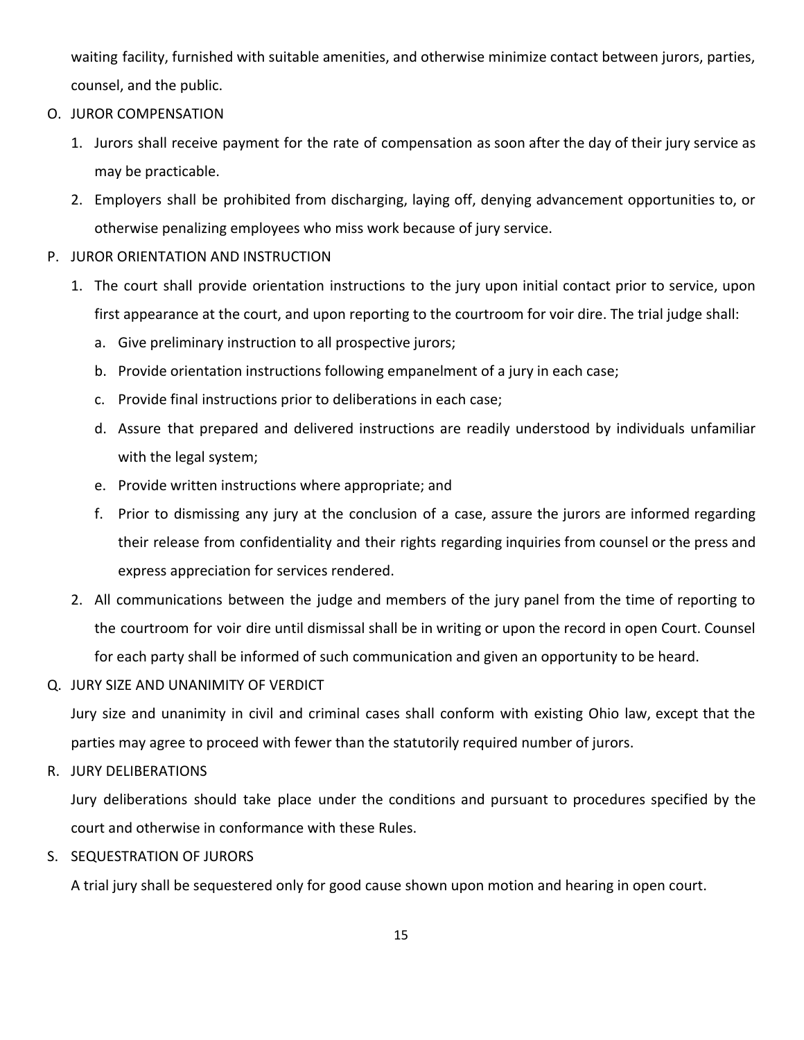waiting facility, furnished with suitable amenities, and otherwise minimize contact between jurors, parties, counsel, and the public.

- O. JUROR COMPENSATION
	- 1. Jurors shall receive payment for the rate of compensation as soon after the day of their jury service as may be practicable.
	- 2. Employers shall be prohibited from discharging, laying off, denying advancement opportunities to, or otherwise penalizing employees who miss work because of jury service.
- P. JUROR ORIENTATION AND INSTRUCTION
	- 1. The court shall provide orientation instructions to the jury upon initial contact prior to service, upon first appearance at the court, and upon reporting to the courtroom for voir dire. The trial judge shall:
		- a. Give preliminary instruction to all prospective jurors;
		- b. Provide orientation instructions following empanelment of a jury in each case;
		- c. Provide final instructions prior to deliberations in each case;
		- d. Assure that prepared and delivered instructions are readily understood by individuals unfamiliar with the legal system;
		- e. Provide written instructions where appropriate; and
		- f. Prior to dismissing any jury at the conclusion of a case, assure the jurors are informed regarding their release from confidentiality and their rights regarding inquiries from counsel or the press and express appreciation for services rendered.
	- 2. All communications between the judge and members of the jury panel from the time of reporting to the courtroom for voir dire until dismissal shall be in writing or upon the record in open Court. Counsel for each party shall be informed of such communication and given an opportunity to be heard.
- Q. JURY SIZE AND UNANIMITY OF VERDICT

Jury size and unanimity in civil and criminal cases shall conform with existing Ohio law, except that the parties may agree to proceed with fewer than the statutorily required number of jurors.

R. JURY DELIBERATIONS

Jury deliberations should take place under the conditions and pursuant to procedures specified by the court and otherwise in conformance with these Rules.

S. SEQUESTRATION OF JURORS

A trial jury shall be sequestered only for good cause shown upon motion and hearing in open court.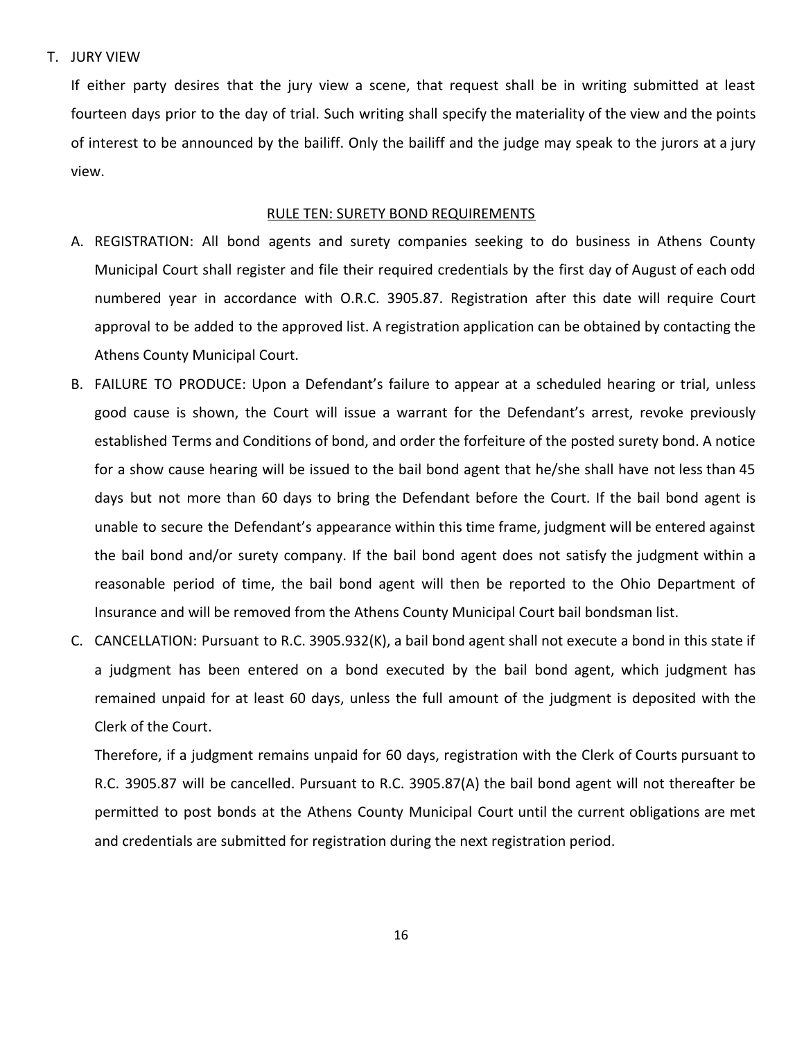### T. JURY VIEW

If either party desires that the jury view a scene, that request shall be in writing submitted at least fourteen days prior to the day of trial. Such writing shall specify the materiality of the view and the points of interest to be announced by the bailiff. Only the bailiff and the judge may speak to the jurors at a jury view.

#### RULE TEN: SURETY BOND REQUIREMENTS

- <span id="page-15-0"></span>A. REGISTRATION: All bond agents and surety companies seeking to do business in Athens County Municipal Court shall register and file their required credentials by the first day of August of each odd numbered year in accordance with O.R.C. 3905.87. Registration after this date will require Court approval to be added to the approved list. A registration application can be obtained by contacting the Athens County Municipal Court.
- B. FAILURE TO PRODUCE: Upon a Defendant's failure to appear at a scheduled hearing or trial, unless good cause is shown, the Court will issue a warrant for the Defendant's arrest, revoke previously established Terms and Conditions of bond, and order the forfeiture of the posted surety bond. A notice for a show cause hearing will be issued to the bail bond agent that he/she shall have not less than 45 days but not more than 60 days to bring the Defendant before the Court. If the bail bond agent is unable to secure the Defendant's appearance within this time frame, judgment will be entered against the bail bond and/or surety company. If the bail bond agent does not satisfy the judgment within a reasonable period of time, the bail bond agent will then be reported to the Ohio Department of Insurance and will be removed from the Athens County Municipal Court bail bondsman list.
- C. CANCELLATION: Pursuant to R.C. 3905.932(K), a bail bond agent shall not execute a bond in this state if a judgment has been entered on a bond executed by the bail bond agent, which judgment has remained unpaid for at least 60 days, unless the full amount of the judgment is deposited with the Clerk of the Court.

Therefore, if a judgment remains unpaid for 60 days, registration with the Clerk of Courts pursuant to R.C. 3905.87 will be cancelled. Pursuant to R.C. 3905.87(A) the bail bond agent will not thereafter be permitted to post bonds at the Athens County Municipal Court until the current obligations are met and credentials are submitted for registration during the next registration period.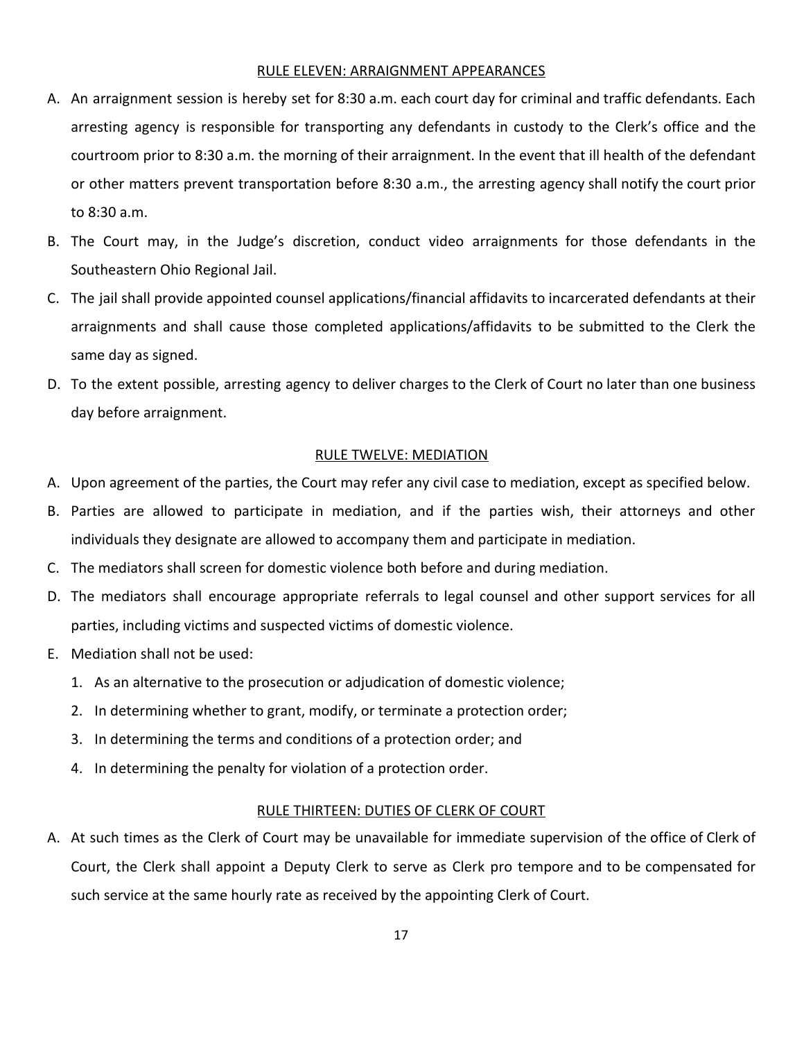#### RULE ELEVEN: ARRAIGNMENT APPEARANCES

- <span id="page-16-0"></span>A. An arraignment session is hereby set for 8:30 a.m. each court day for criminal and traffic defendants. Each arresting agency is responsible for transporting any defendants in custody to the Clerk's office and the courtroom prior to 8:30 a.m. the morning of their arraignment. In the event that ill health of the defendant or other matters prevent transportation before 8:30 a.m., the arresting agency shall notify the court prior to 8:30 a.m.
- B. The Court may, in the Judge's discretion, conduct video arraignments for those defendants in the Southeastern Ohio Regional Jail.
- C. The jail shall provide appointed counsel applications/financial affidavits to incarcerated defendants at their arraignments and shall cause those completed applications/affidavits to be submitted to the Clerk the same day as signed.
- D. To the extent possible, arresting agency to deliver charges to the Clerk of Court no later than one business day before arraignment.

#### RULE TWELVE: MEDIATION

- <span id="page-16-1"></span>A. Upon agreement of the parties, the Court may refer any civil case to mediation, except as specified below.
- B. Parties are allowed to participate in mediation, and if the parties wish, their attorneys and other individuals they designate are allowed to accompany them and participate in mediation.
- C. The mediators shall screen for domestic violence both before and during mediation.
- D. The mediators shall encourage appropriate referrals to legal counsel and other support services for all parties, including victims and suspected victims of domestic violence.
- E. Mediation shall not be used:
	- 1. As an alternative to the prosecution or adjudication of domestic violence;
	- 2. In determining whether to grant, modify, or terminate a protection order;
	- 3. In determining the terms and conditions of a protection order; and
	- 4. In determining the penalty for violation of a protection order.

#### RULE THIRTEEN: DUTIES OF CLERK OF COURT

<span id="page-16-2"></span>A. At such times as the Clerk of Court may be unavailable for immediate supervision of the office of Clerk of Court, the Clerk shall appoint a Deputy Clerk to serve as Clerk pro tempore and to be compensated for such service at the same hourly rate as received by the appointing Clerk of Court.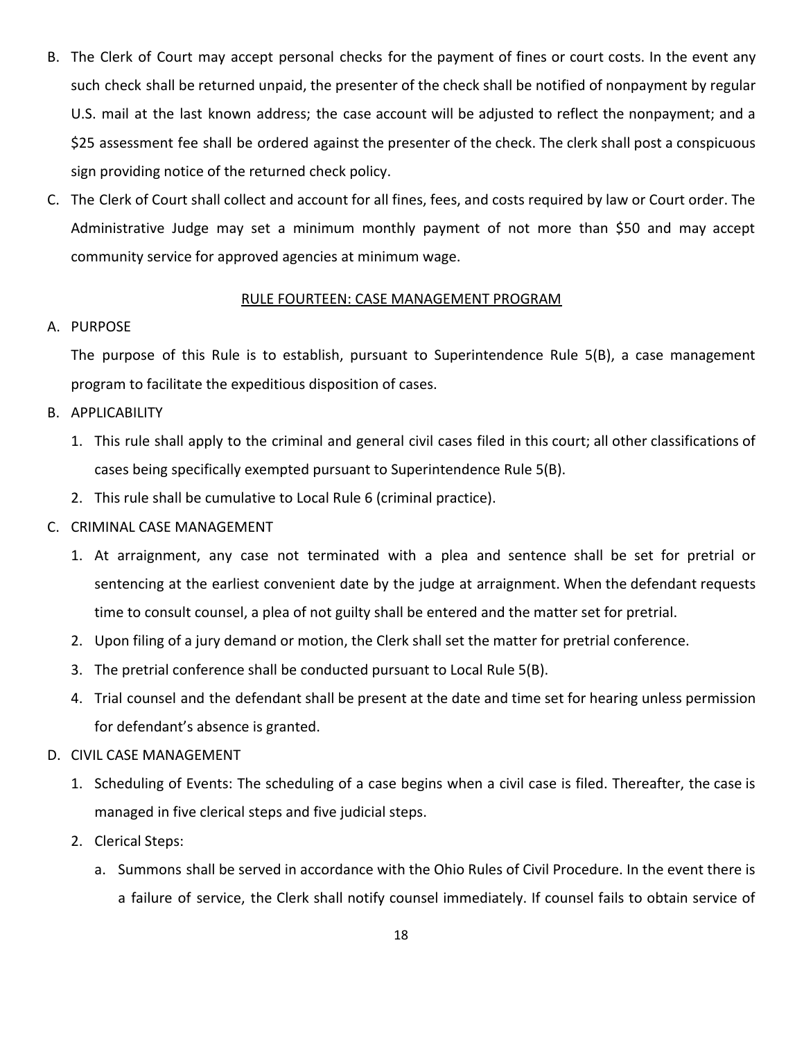- B. The Clerk of Court may accept personal checks for the payment of fines or court costs. In the event any such check shall be returned unpaid, the presenter of the check shall be notified of nonpayment by regular U.S. mail at the last known address; the case account will be adjusted to reflect the nonpayment; and a \$25 assessment fee shall be ordered against the presenter of the check. The clerk shall post a conspicuous sign providing notice of the returned check policy.
- C. The Clerk of Court shall collect and account for all fines, fees, and costs required by law or Court order. The Administrative Judge may set a minimum monthly payment of not more than \$50 and may accept community service for approved agencies at minimum wage.

### RULE FOURTEEN: CASE MANAGEMENT PROGRAM

### <span id="page-17-0"></span>A. PURPOSE

The purpose of this Rule is to establish, pursuant to Superintendence Rule 5(B), a case management program to facilitate the expeditious disposition of cases.

## B. APPLICABILITY

- 1. This rule shall apply to the criminal and general civil cases filed in this court; all other classifications of cases being specifically exempted pursuant to Superintendence Rule 5(B).
- 2. This rule shall be cumulative to Local Rule 6 (criminal practice).

## C. CRIMINAL CASE MANAGEMENT

- 1. At arraignment, any case not terminated with a plea and sentence shall be set for pretrial or sentencing at the earliest convenient date by the judge at arraignment. When the defendant requests time to consult counsel, a plea of not guilty shall be entered and the matter set for pretrial.
- 2. Upon filing of a jury demand or motion, the Clerk shall set the matter for pretrial conference.
- 3. The pretrial conference shall be conducted pursuant to Local Rule 5(B).
- 4. Trial counsel and the defendant shall be present at the date and time set for hearing unless permission for defendant's absence is granted.

## D. CIVIL CASE MANAGEMENT

- 1. Scheduling of Events: The scheduling of a case begins when a civil case is filed. Thereafter, the case is managed in five clerical steps and five judicial steps.
- 2. Clerical Steps:
	- a. Summons shall be served in accordance with the Ohio Rules of Civil Procedure. In the event there is a failure of service, the Clerk shall notify counsel immediately. If counsel fails to obtain service of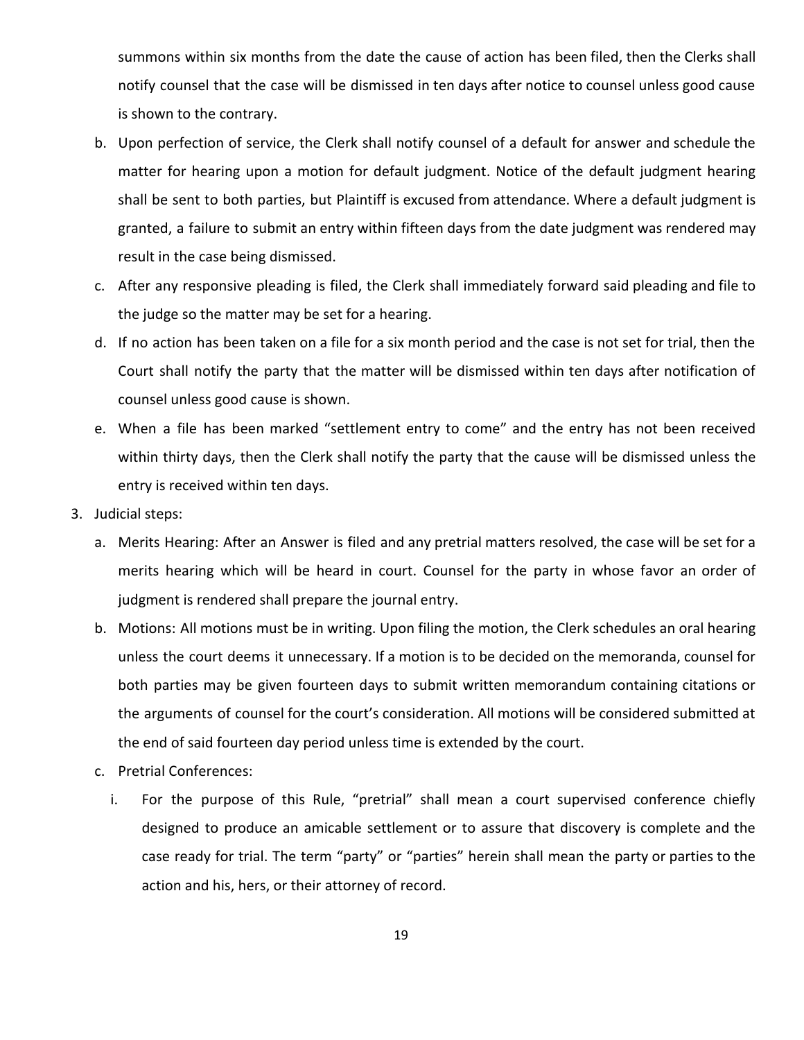summons within six months from the date the cause of action has been filed, then the Clerks shall notify counsel that the case will be dismissed in ten days after notice to counsel unless good cause is shown to the contrary.

- b. Upon perfection of service, the Clerk shall notify counsel of a default for answer and schedule the matter for hearing upon a motion for default judgment. Notice of the default judgment hearing shall be sent to both parties, but Plaintiff is excused from attendance. Where a default judgment is granted, a failure to submit an entry within fifteen days from the date judgment was rendered may result in the case being dismissed.
- c. After any responsive pleading is filed, the Clerk shall immediately forward said pleading and file to the judge so the matter may be set for a hearing.
- d. If no action has been taken on a file for a six month period and the case is not set for trial, then the Court shall notify the party that the matter will be dismissed within ten days after notification of counsel unless good cause is shown.
- e. When a file has been marked "settlement entry to come" and the entry has not been received within thirty days, then the Clerk shall notify the party that the cause will be dismissed unless the entry is received within ten days.
- 3. Judicial steps:
	- a. Merits Hearing: After an Answer is filed and any pretrial matters resolved, the case will be set for a merits hearing which will be heard in court. Counsel for the party in whose favor an order of judgment is rendered shall prepare the journal entry.
	- b. Motions: All motions must be in writing. Upon filing the motion, the Clerk schedules an oral hearing unless the court deems it unnecessary. If a motion is to be decided on the memoranda, counsel for both parties may be given fourteen days to submit written memorandum containing citations or the arguments of counsel for the court's consideration. All motions will be considered submitted at the end of said fourteen day period unless time is extended by the court.
	- c. Pretrial Conferences:
		- i. For the purpose of this Rule, "pretrial" shall mean a court supervised conference chiefly designed to produce an amicable settlement or to assure that discovery is complete and the case ready for trial. The term "party" or "parties" herein shall mean the party or parties to the action and his, hers, or their attorney of record.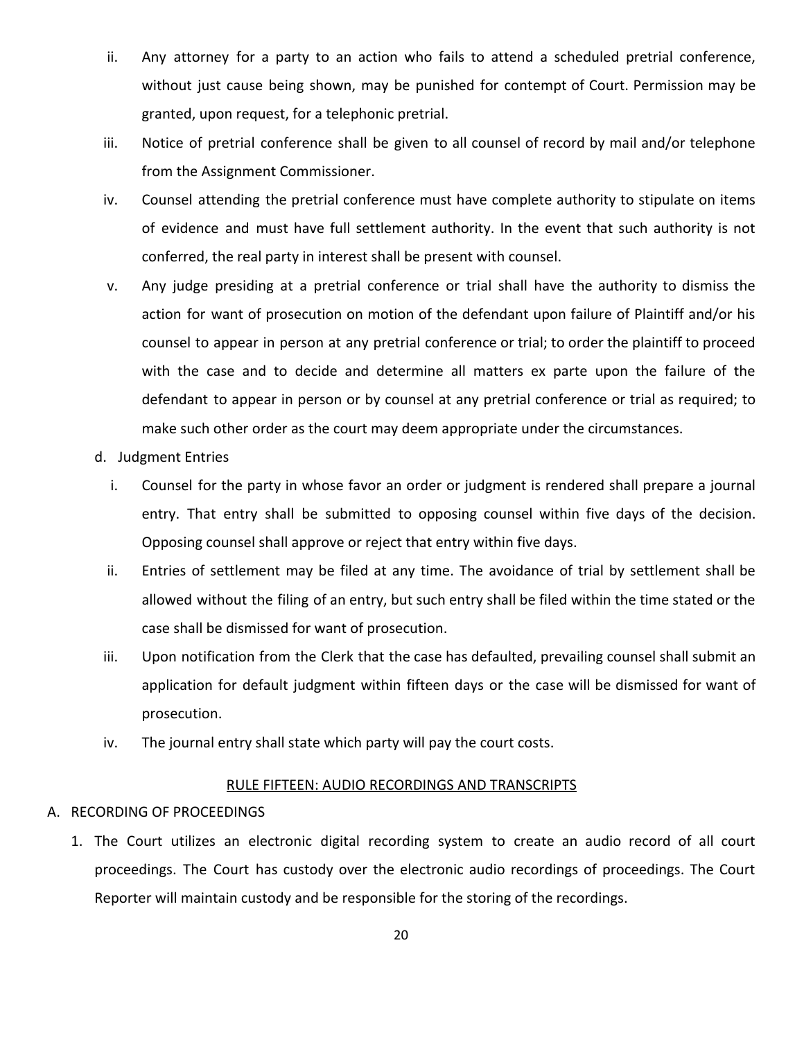- ii. Any attorney for a party to an action who fails to attend a scheduled pretrial conference, without just cause being shown, may be punished for contempt of Court. Permission may be granted, upon request, for a telephonic pretrial.
- iii. Notice of pretrial conference shall be given to all counsel of record by mail and/or telephone from the Assignment Commissioner.
- iv. Counsel attending the pretrial conference must have complete authority to stipulate on items of evidence and must have full settlement authority. In the event that such authority is not conferred, the real party in interest shall be present with counsel.
- v. Any judge presiding at a pretrial conference or trial shall have the authority to dismiss the action for want of prosecution on motion of the defendant upon failure of Plaintiff and/or his counsel to appear in person at any pretrial conference or trial; to order the plaintiff to proceed with the case and to decide and determine all matters ex parte upon the failure of the defendant to appear in person or by counsel at any pretrial conference or trial as required; to make such other order as the court may deem appropriate under the circumstances.
- d. Judgment Entries
	- i. Counsel for the party in whose favor an order or judgment is rendered shall prepare a journal entry. That entry shall be submitted to opposing counsel within five days of the decision. Opposing counsel shall approve or reject that entry within five days.
	- ii. Entries of settlement may be filed at any time. The avoidance of trial by settlement shall be allowed without the filing of an entry, but such entry shall be filed within the time stated or the case shall be dismissed for want of prosecution.
- iii. Upon notification from the Clerk that the case has defaulted, prevailing counsel shall submit an application for default judgment within fifteen days or the case will be dismissed for want of prosecution.
- iv. The journal entry shall state which party will pay the court costs.

#### RULE FIFTEEN: AUDIO RECORDINGS AND TRANSCRIPTS

### <span id="page-19-0"></span>A. RECORDING OF PROCEEDINGS

1. The Court utilizes an electronic digital recording system to create an audio record of all court proceedings. The Court has custody over the electronic audio recordings of proceedings. The Court Reporter will maintain custody and be responsible for the storing of the recordings.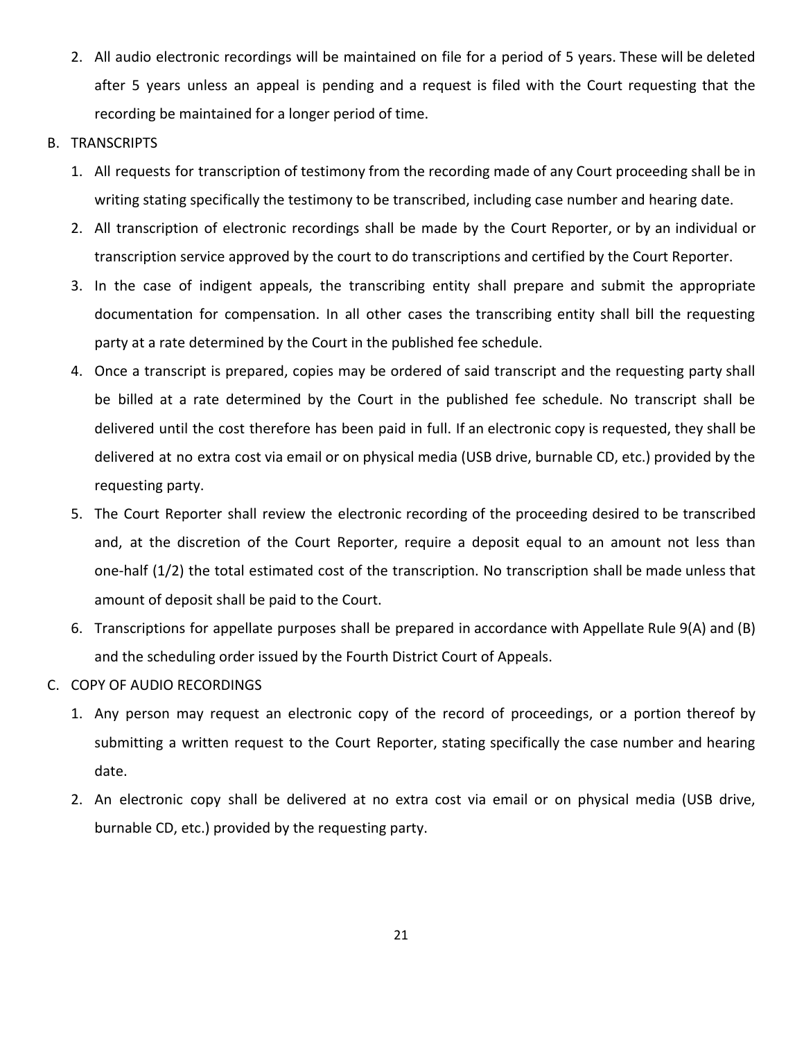- 2. All audio electronic recordings will be maintained on file for a period of 5 years. These will be deleted after 5 years unless an appeal is pending and a request is filed with the Court requesting that the recording be maintained for a longer period of time.
- B. TRANSCRIPTS
	- 1. All requests for transcription of testimony from the recording made of any Court proceeding shall be in writing stating specifically the testimony to be transcribed, including case number and hearing date.
	- 2. All transcription of electronic recordings shall be made by the Court Reporter, or by an individual or transcription service approved by the court to do transcriptions and certified by the Court Reporter.
	- 3. In the case of indigent appeals, the transcribing entity shall prepare and submit the appropriate documentation for compensation. In all other cases the transcribing entity shall bill the requesting party at a rate determined by the Court in the published fee schedule.
	- 4. Once a transcript is prepared, copies may be ordered of said transcript and the requesting party shall be billed at a rate determined by the Court in the published fee schedule. No transcript shall be delivered until the cost therefore has been paid in full. If an electronic copy is requested, they shall be delivered at no extra cost via email or on physical media (USB drive, burnable CD, etc.) provided by the requesting party.
	- 5. The Court Reporter shall review the electronic recording of the proceeding desired to be transcribed and, at the discretion of the Court Reporter, require a deposit equal to an amount not less than one-half (1/2) the total estimated cost of the transcription. No transcription shall be made unless that amount of deposit shall be paid to the Court.
	- 6. Transcriptions for appellate purposes shall be prepared in accordance with Appellate Rule 9(A) and (B) and the scheduling order issued by the Fourth District Court of Appeals.
- C. COPY OF AUDIO RECORDINGS
	- 1. Any person may request an electronic copy of the record of proceedings, or a portion thereof by submitting a written request to the Court Reporter, stating specifically the case number and hearing date.
	- 2. An electronic copy shall be delivered at no extra cost via email or on physical media (USB drive, burnable CD, etc.) provided by the requesting party.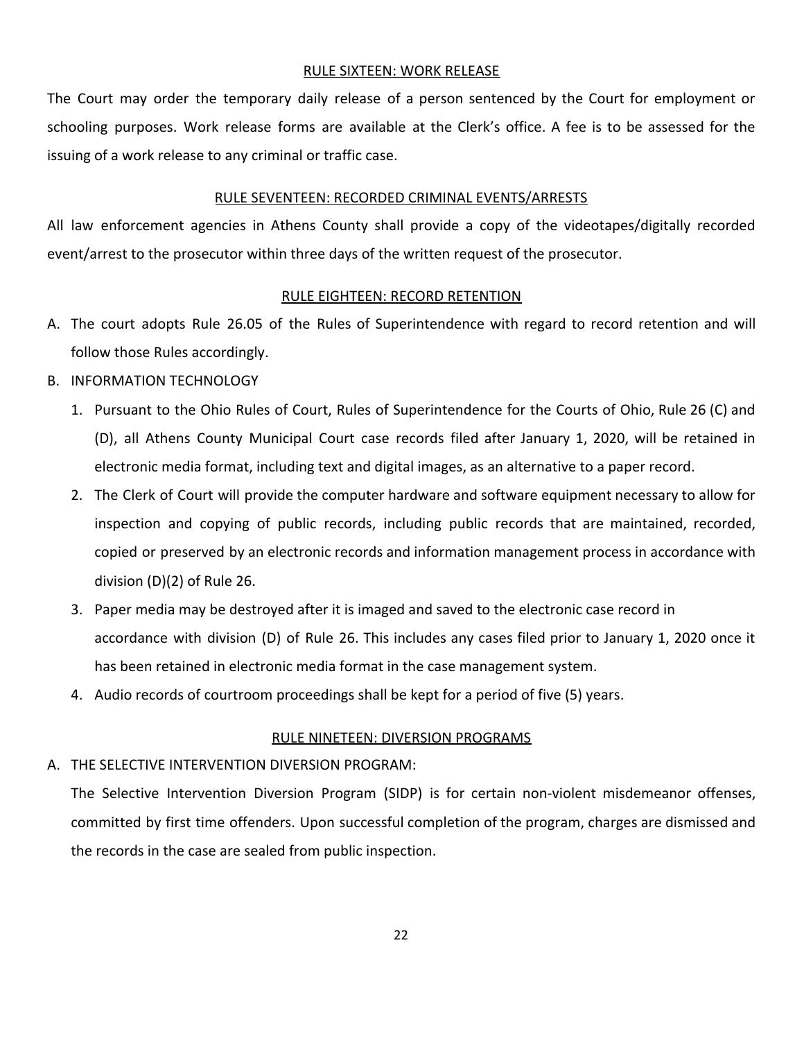### RULE SIXTEEN: WORK RELEASE

<span id="page-21-0"></span>The Court may order the temporary daily release of a person sentenced by the Court for employment or schooling purposes. Work release forms are available at the Clerk's office. A fee is to be assessed for the issuing of a work release to any criminal or traffic case.

### RULE SEVENTEEN: RECORDED CRIMINAL EVENTS/ARRESTS

<span id="page-21-1"></span>All law enforcement agencies in Athens County shall provide a copy of the videotapes/digitally recorded event/arrest to the prosecutor within three days of the written request of the prosecutor.

### RULE EIGHTEEN: RECORD RETENTION

- <span id="page-21-2"></span>A. The court adopts Rule 26.05 of the Rules of Superintendence with regard to record retention and will follow those Rules accordingly.
- B. INFORMATION TECHNOLOGY
	- 1. Pursuant to the Ohio Rules of Court, Rules of Superintendence for the Courts of Ohio, Rule 26 (C) and (D), all Athens County Municipal Court case records filed after January 1, 2020, will be retained in electronic media format, including text and digital images, as an alternative to a paper record.
	- 2. The Clerk of Court will provide the computer hardware and software equipment necessary to allow for inspection and copying of public records, including public records that are maintained, recorded, copied or preserved by an electronic records and information management process in accordance with division (D)(2) of Rule 26.
	- 3. Paper media may be destroyed after it is imaged and saved to the electronic case record in accordance with division (D) of Rule 26. This includes any cases filed prior to January 1, 2020 once it has been retained in electronic media format in the case management system.
	- 4. Audio records of courtroom proceedings shall be kept for a period of five (5) years.

#### RULE NINETEEN: DIVERSION PROGRAMS

## <span id="page-21-3"></span>A. THE SELECTIVE INTERVENTION DIVERSION PROGRAM:

The Selective Intervention Diversion Program (SIDP) is for certain non-violent misdemeanor offenses, committed by first time offenders. Upon successful completion of the program, charges are dismissed and the records in the case are sealed from public inspection.

22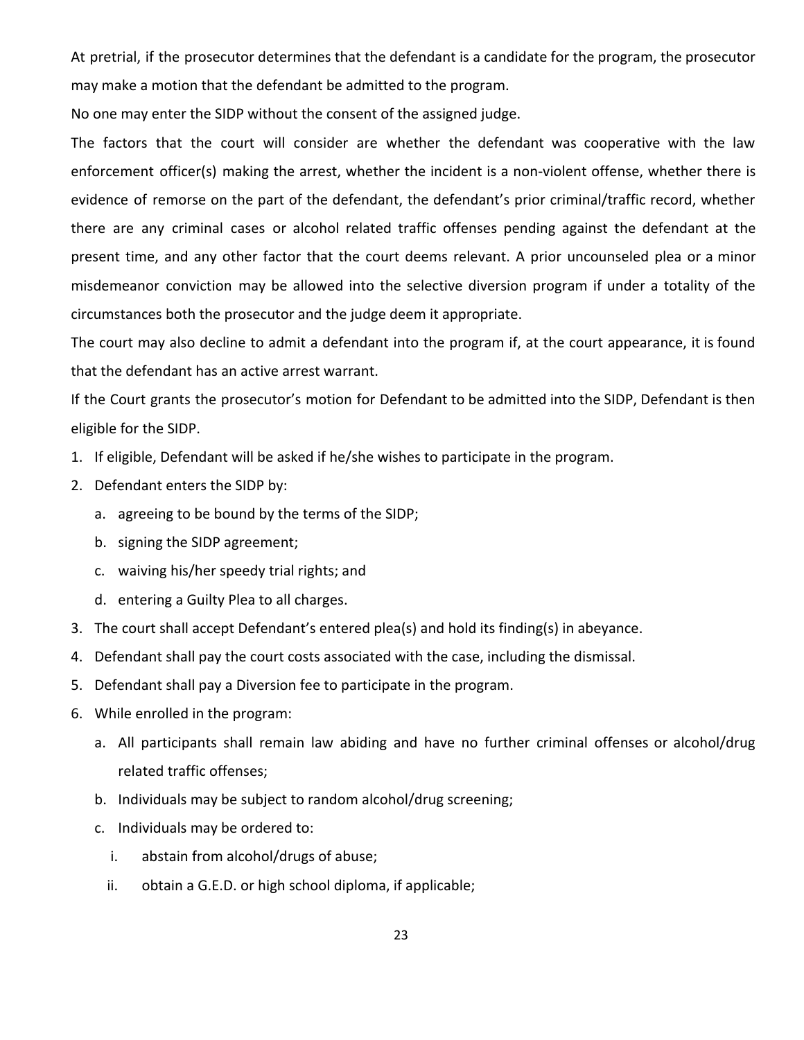At pretrial, if the prosecutor determines that the defendant is a candidate for the program, the prosecutor may make a motion that the defendant be admitted to the program.

No one may enter the SIDP without the consent of the assigned judge.

The factors that the court will consider are whether the defendant was cooperative with the law enforcement officer(s) making the arrest, whether the incident is a non-violent offense, whether there is evidence of remorse on the part of the defendant, the defendant's prior criminal/traffic record, whether there are any criminal cases or alcohol related traffic offenses pending against the defendant at the present time, and any other factor that the court deems relevant. A prior uncounseled plea or a minor misdemeanor conviction may be allowed into the selective diversion program if under a totality of the circumstances both the prosecutor and the judge deem it appropriate.

The court may also decline to admit a defendant into the program if, at the court appearance, it is found that the defendant has an active arrest warrant.

If the Court grants the prosecutor's motion for Defendant to be admitted into the SIDP, Defendant is then eligible for the SIDP.

- 1. If eligible, Defendant will be asked if he/she wishes to participate in the program.
- 2. Defendant enters the SIDP by:
	- a. agreeing to be bound by the terms of the SIDP;
	- b. signing the SIDP agreement;
	- c. waiving his/her speedy trial rights; and
	- d. entering a Guilty Plea to all charges.
- 3. The court shall accept Defendant's entered plea(s) and hold its finding(s) in abeyance.
- 4. Defendant shall pay the court costs associated with the case, including the dismissal.
- 5. Defendant shall pay a Diversion fee to participate in the program.
- 6. While enrolled in the program:
	- a. All participants shall remain law abiding and have no further criminal offenses or alcohol/drug related traffic offenses;
	- b. Individuals may be subject to random alcohol/drug screening;
	- c. Individuals may be ordered to:
		- i. abstain from alcohol/drugs of abuse;
		- ii. obtain a G.E.D. or high school diploma, if applicable;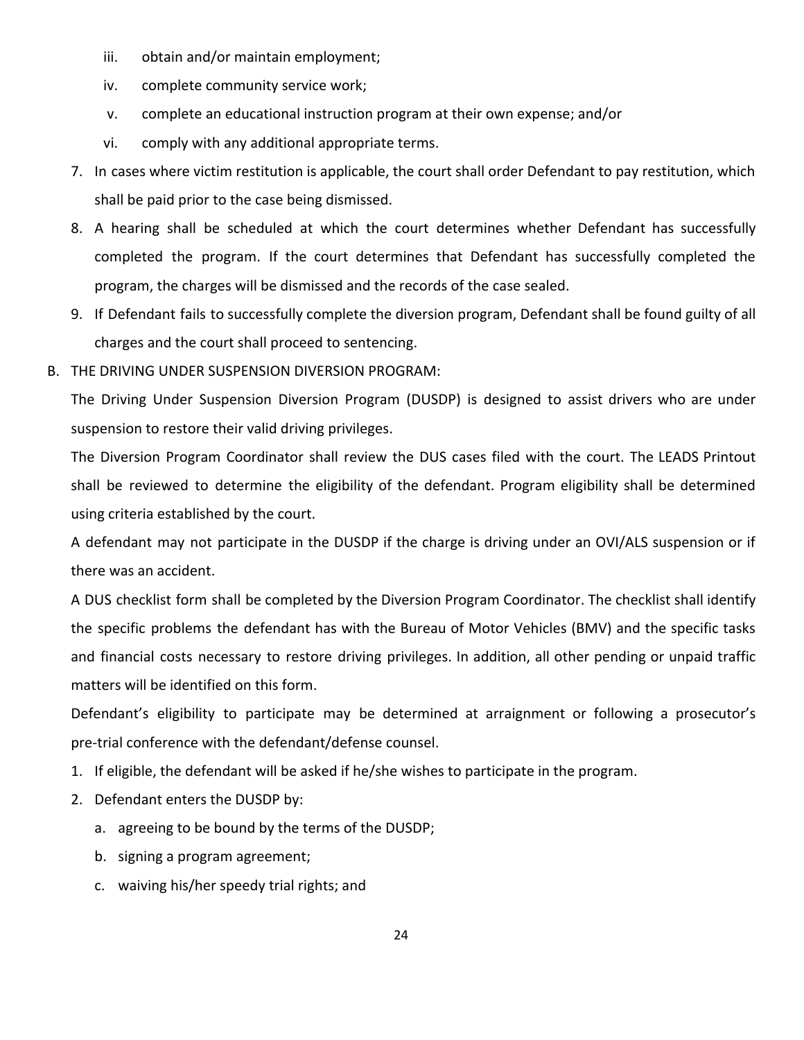- iii. obtain and/or maintain employment;
- iv. complete community service work;
- v. complete an educational instruction program at their own expense; and/or
- vi. comply with any additional appropriate terms.
- 7. In cases where victim restitution is applicable, the court shall order Defendant to pay restitution, which shall be paid prior to the case being dismissed.
- 8. A hearing shall be scheduled at which the court determines whether Defendant has successfully completed the program. If the court determines that Defendant has successfully completed the program, the charges will be dismissed and the records of the case sealed.
- 9. If Defendant fails to successfully complete the diversion program, Defendant shall be found guilty of all charges and the court shall proceed to sentencing.
- B. THE DRIVING UNDER SUSPENSION DIVERSION PROGRAM:

The Driving Under Suspension Diversion Program (DUSDP) is designed to assist drivers who are under suspension to restore their valid driving privileges.

The Diversion Program Coordinator shall review the DUS cases filed with the court. The LEADS Printout shall be reviewed to determine the eligibility of the defendant. Program eligibility shall be determined using criteria established by the court.

A defendant may not participate in the DUSDP if the charge is driving under an OVI/ALS suspension or if there was an accident.

A DUS checklist form shall be completed by the Diversion Program Coordinator. The checklist shall identify the specific problems the defendant has with the Bureau of Motor Vehicles (BMV) and the specific tasks and financial costs necessary to restore driving privileges. In addition, all other pending or unpaid traffic matters will be identified on this form.

Defendant's eligibility to participate may be determined at arraignment or following a prosecutor's pre-trial conference with the defendant/defense counsel.

- 1. If eligible, the defendant will be asked if he/she wishes to participate in the program.
- 2. Defendant enters the DUSDP by:
	- a. agreeing to be bound by the terms of the DUSDP;
	- b. signing a program agreement;
	- c. waiving his/her speedy trial rights; and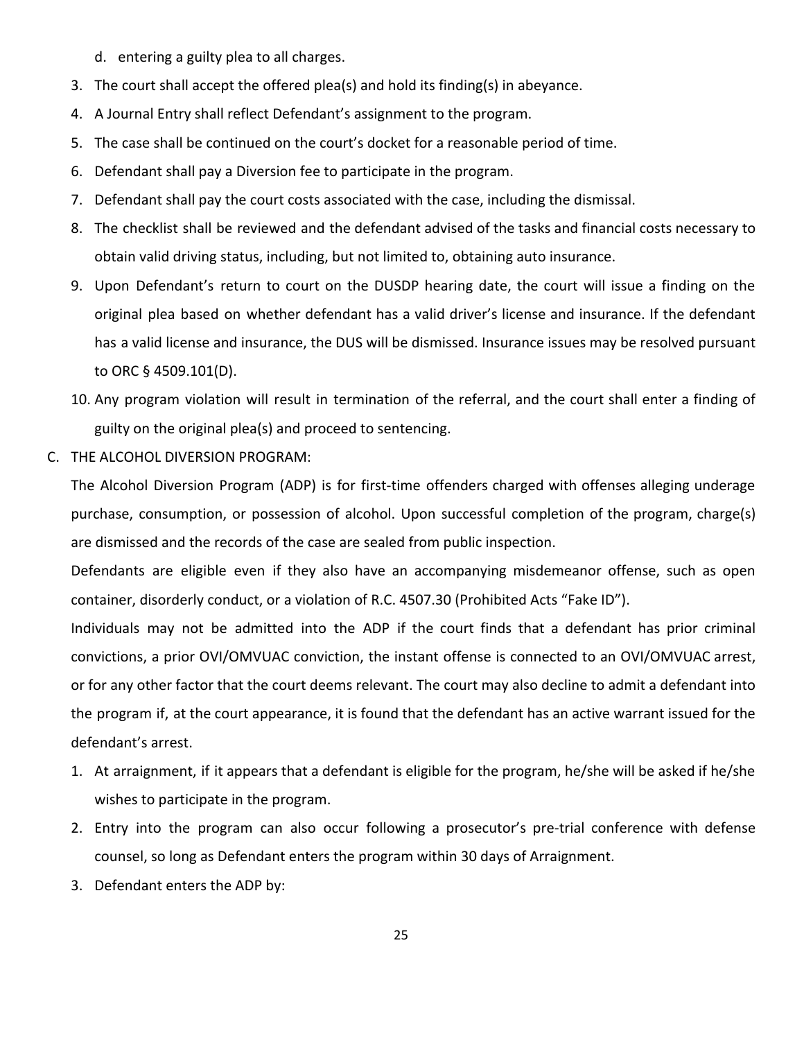- d. entering a guilty plea to all charges.
- 3. The court shall accept the offered plea(s) and hold its finding(s) in abeyance.
- 4. A Journal Entry shall reflect Defendant's assignment to the program.
- 5. The case shall be continued on the court's docket for a reasonable period of time.
- 6. Defendant shall pay a Diversion fee to participate in the program.
- 7. Defendant shall pay the court costs associated with the case, including the dismissal.
- 8. The checklist shall be reviewed and the defendant advised of the tasks and financial costs necessary to obtain valid driving status, including, but not limited to, obtaining auto insurance.
- 9. Upon Defendant's return to court on the DUSDP hearing date, the court will issue a finding on the original plea based on whether defendant has a valid driver's license and insurance. If the defendant has a valid license and insurance, the DUS will be dismissed. Insurance issues may be resolved pursuant to ORC § 4509.101(D).
- 10. Any program violation will result in termination of the referral, and the court shall enter a finding of guilty on the original plea(s) and proceed to sentencing.
- C. THE ALCOHOL DIVERSION PROGRAM:

The Alcohol Diversion Program (ADP) is for first-time offenders charged with offenses alleging underage purchase, consumption, or possession of alcohol. Upon successful completion of the program, charge(s) are dismissed and the records of the case are sealed from public inspection.

Defendants are eligible even if they also have an accompanying misdemeanor offense, such as open container, disorderly conduct, or a violation of R.C. 4507.30 (Prohibited Acts "Fake ID").

Individuals may not be admitted into the ADP if the court finds that a defendant has prior criminal convictions, a prior OVI/OMVUAC conviction, the instant offense is connected to an OVI/OMVUAC arrest, or for any other factor that the court deems relevant. The court may also decline to admit a defendant into the program if, at the court appearance, it is found that the defendant has an active warrant issued for the defendant's arrest.

- 1. At arraignment, if it appears that a defendant is eligible for the program, he/she will be asked if he/she wishes to participate in the program.
- 2. Entry into the program can also occur following a prosecutor's pre-trial conference with defense counsel, so long as Defendant enters the program within 30 days of Arraignment.
- 3. Defendant enters the ADP by: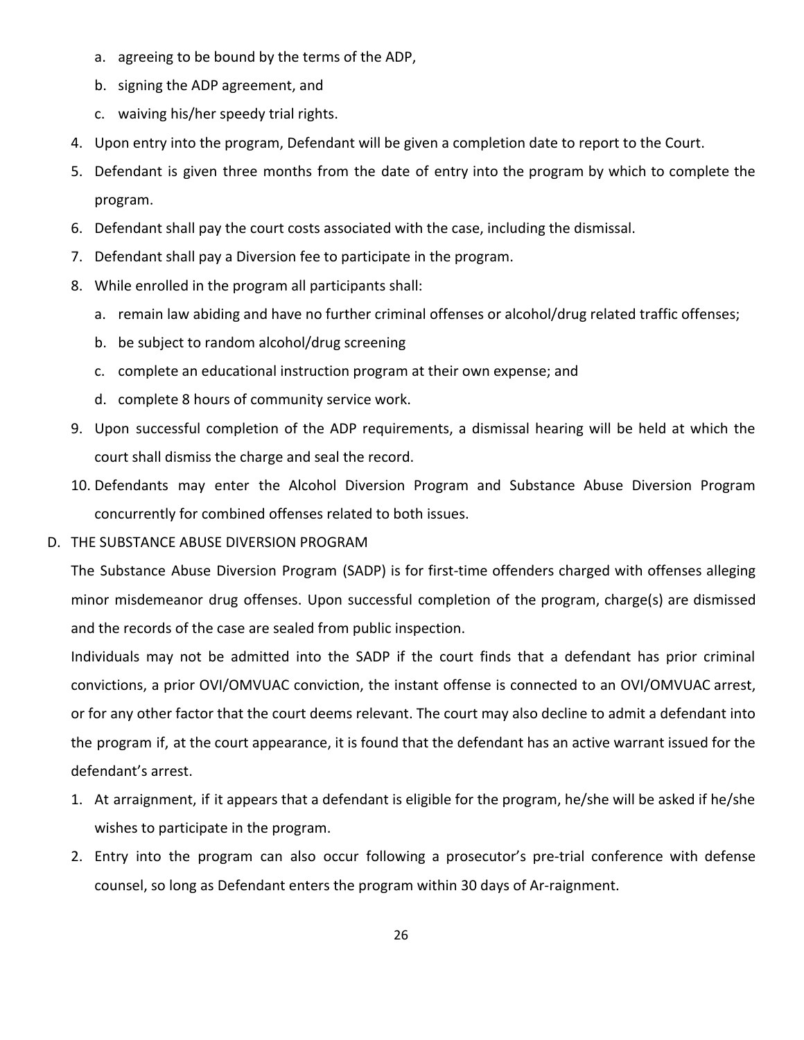- a. agreeing to be bound by the terms of the ADP,
- b. signing the ADP agreement, and
- c. waiving his/her speedy trial rights.
- 4. Upon entry into the program, Defendant will be given a completion date to report to the Court.
- 5. Defendant is given three months from the date of entry into the program by which to complete the program.
- 6. Defendant shall pay the court costs associated with the case, including the dismissal.
- 7. Defendant shall pay a Diversion fee to participate in the program.
- 8. While enrolled in the program all participants shall:
	- a. remain law abiding and have no further criminal offenses or alcohol/drug related traffic offenses;
	- b. be subject to random alcohol/drug screening
	- c. complete an educational instruction program at their own expense; and
	- d. complete 8 hours of community service work.
- 9. Upon successful completion of the ADP requirements, a dismissal hearing will be held at which the court shall dismiss the charge and seal the record.
- 10. Defendants may enter the Alcohol Diversion Program and Substance Abuse Diversion Program concurrently for combined offenses related to both issues.
- D. THE SUBSTANCE ABUSE DIVERSION PROGRAM

The Substance Abuse Diversion Program (SADP) is for first-time offenders charged with offenses alleging minor misdemeanor drug offenses. Upon successful completion of the program, charge(s) are dismissed and the records of the case are sealed from public inspection.

Individuals may not be admitted into the SADP if the court finds that a defendant has prior criminal convictions, a prior OVI/OMVUAC conviction, the instant offense is connected to an OVI/OMVUAC arrest, or for any other factor that the court deems relevant. The court may also decline to admit a defendant into the program if, at the court appearance, it is found that the defendant has an active warrant issued for the defendant's arrest.

- 1. At arraignment, if it appears that a defendant is eligible for the program, he/she will be asked if he/she wishes to participate in the program.
- 2. Entry into the program can also occur following a prosecutor's pre-trial conference with defense counsel, so long as Defendant enters the program within 30 days of Ar-raignment.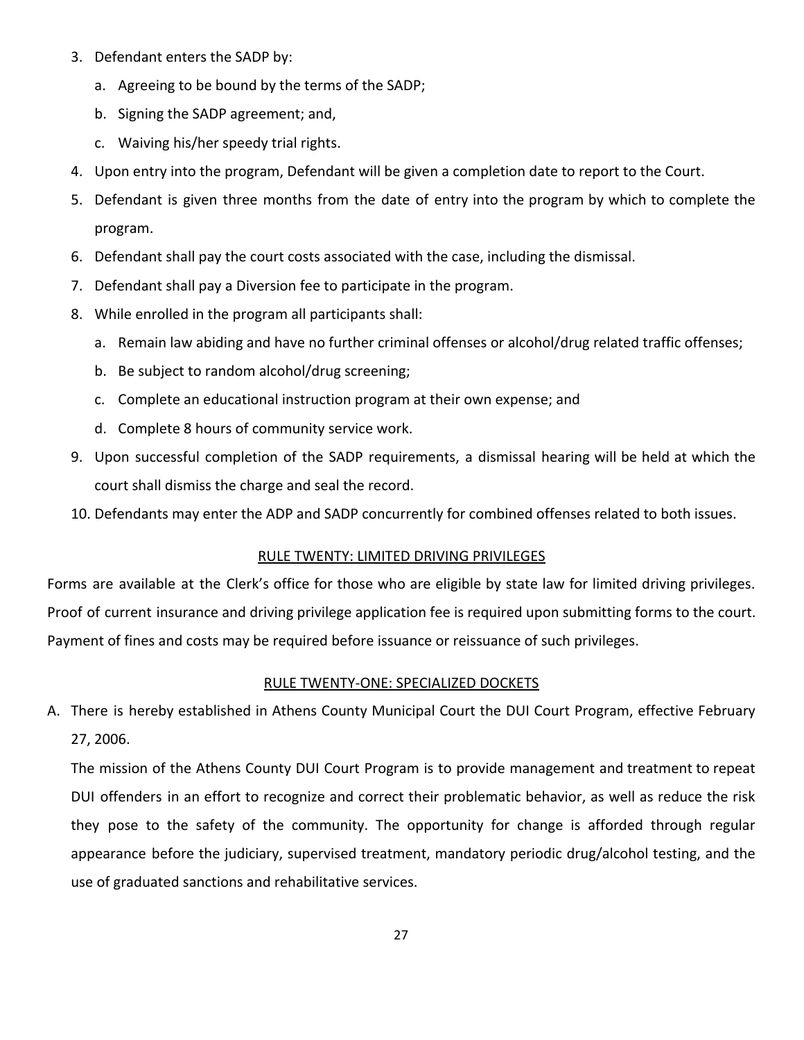- 3. Defendant enters the SADP by:
	- a. Agreeing to be bound by the terms of the SADP;
	- b. Signing the SADP agreement; and,
	- c. Waiving his/her speedy trial rights.
- 4. Upon entry into the program, Defendant will be given a completion date to report to the Court.
- 5. Defendant is given three months from the date of entry into the program by which to complete the program.
- 6. Defendant shall pay the court costs associated with the case, including the dismissal.
- 7. Defendant shall pay a Diversion fee to participate in the program.
- 8. While enrolled in the program all participants shall:
	- a. Remain law abiding and have no further criminal offenses or alcohol/drug related traffic offenses;
	- b. Be subject to random alcohol/drug screening;
	- c. Complete an educational instruction program at their own expense; and
	- d. Complete 8 hours of community service work.
- 9. Upon successful completion of the SADP requirements, a dismissal hearing will be held at which the court shall dismiss the charge and seal the record.
- <span id="page-26-0"></span>10. Defendants may enter the ADP and SADP concurrently for combined offenses related to both issues.

### RULE TWENTY: LIMITED DRIVING PRIVILEGES

Forms are available at the Clerk's office for those who are eligible by state law for limited driving privileges. Proof of current insurance and driving privilege application fee is required upon submitting forms to the court. Payment of fines and costs may be required before issuance or reissuance of such privileges.

#### RULE TWENTY-ONE: SPECIALIZED DOCKETS

<span id="page-26-1"></span>A. There is hereby established in Athens County Municipal Court the DUI Court Program, effective February 27, 2006.

The mission of the Athens County DUI Court Program is to provide management and treatment to repeat DUI offenders in an effort to recognize and correct their problematic behavior, as well as reduce the risk they pose to the safety of the community. The opportunity for change is afforded through regular appearance before the judiciary, supervised treatment, mandatory periodic drug/alcohol testing, and the use of graduated sanctions and rehabilitative services.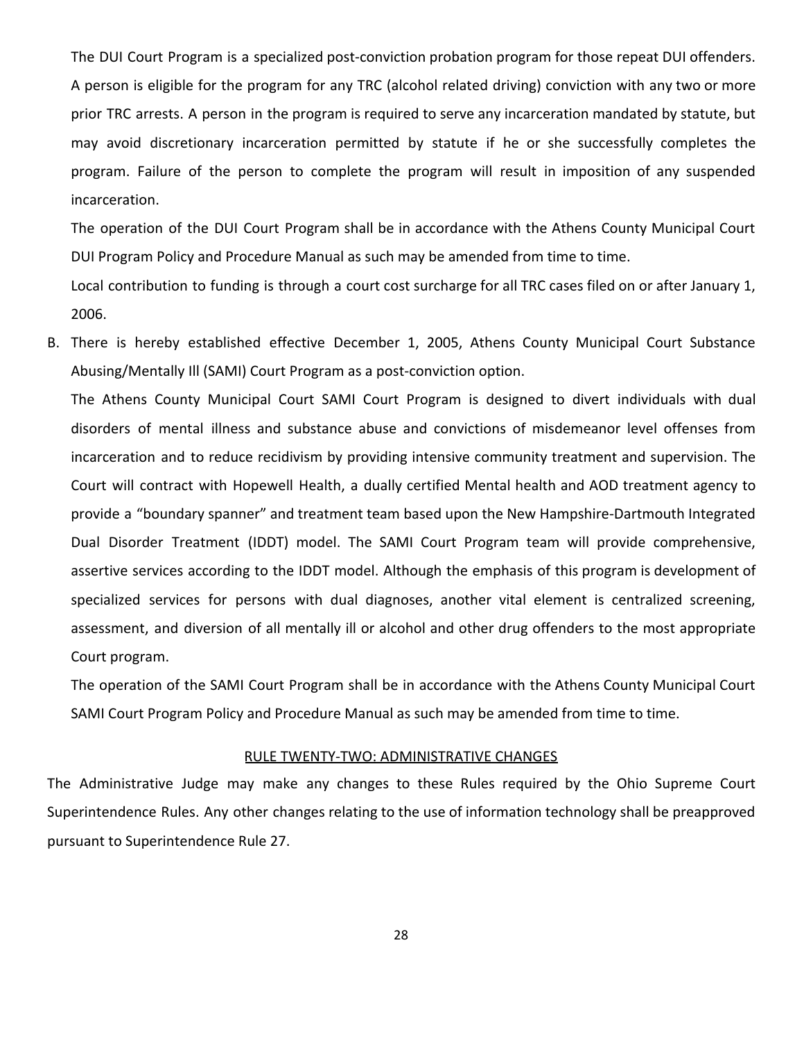The DUI Court Program is a specialized post-conviction probation program for those repeat DUI offenders. A person is eligible for the program for any TRC (alcohol related driving) conviction with any two or more prior TRC arrests. A person in the program is required to serve any incarceration mandated by statute, but may avoid discretionary incarceration permitted by statute if he or she successfully completes the program. Failure of the person to complete the program will result in imposition of any suspended incarceration.

The operation of the DUI Court Program shall be in accordance with the Athens County Municipal Court DUI Program Policy and Procedure Manual as such may be amended from time to time.

Local contribution to funding is through a court cost surcharge for all TRC cases filed on or after January 1, 2006.

B. There is hereby established effective December 1, 2005, Athens County Municipal Court Substance Abusing/Mentally Ill (SAMI) Court Program as a post-conviction option.

The Athens County Municipal Court SAMI Court Program is designed to divert individuals with dual disorders of mental illness and substance abuse and convictions of misdemeanor level offenses from incarceration and to reduce recidivism by providing intensive community treatment and supervision. The Court will contract with Hopewell Health, a dually certified Mental health and AOD treatment agency to provide a "boundary spanner" and treatment team based upon the New Hampshire-Dartmouth Integrated Dual Disorder Treatment (IDDT) model. The SAMI Court Program team will provide comprehensive, assertive services according to the IDDT model. Although the emphasis of this program is development of specialized services for persons with dual diagnoses, another vital element is centralized screening, assessment, and diversion of all mentally ill or alcohol and other drug offenders to the most appropriate Court program.

The operation of the SAMI Court Program shall be in accordance with the Athens County Municipal Court SAMI Court Program Policy and Procedure Manual as such may be amended from time to time.

#### RULE TWENTY-TWO: ADMINISTRATIVE CHANGES

<span id="page-27-0"></span>The Administrative Judge may make any changes to these Rules required by the Ohio Supreme Court Superintendence Rules. Any other changes relating to the use of information technology shall be preapproved pursuant to Superintendence Rule 27.

28